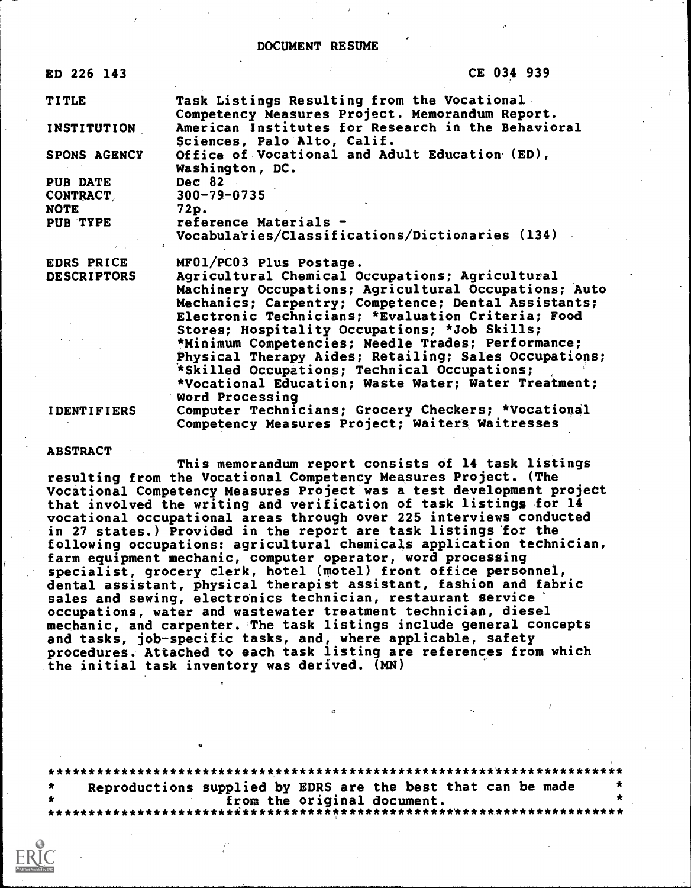#### DOCUMENT RESUME

| ED 226 143            | CE 034 939                                                                                                                                                                                                                                                                                                                                                                                                                             |           |
|-----------------------|----------------------------------------------------------------------------------------------------------------------------------------------------------------------------------------------------------------------------------------------------------------------------------------------------------------------------------------------------------------------------------------------------------------------------------------|-----------|
| <b>TITLE</b>          | Task Listings Resulting from the Vocational<br>Competency Measures Project. Memorandum Report.                                                                                                                                                                                                                                                                                                                                         | $f^{\pm}$ |
| <b>INSTITUTION</b>    | American Institutes for Research in the Behavioral<br>Sciences, Palo Alto, Calif.                                                                                                                                                                                                                                                                                                                                                      |           |
| <b>SPONS AGENCY</b>   | Office of Vocational and Adult Education (ED),<br>Washington, DC.                                                                                                                                                                                                                                                                                                                                                                      |           |
| PUB DATE<br>CONTRACT, | Dec 82<br>$300 - 79 - 0735$                                                                                                                                                                                                                                                                                                                                                                                                            |           |
| <b>NOTE</b>           | 72p.                                                                                                                                                                                                                                                                                                                                                                                                                                   |           |
| PUB TYPE              | reference Materials -<br>Vocabularies/Classifications/Dictionaries (134)                                                                                                                                                                                                                                                                                                                                                               |           |
| EDRS PRICE            | MF01/PC03 Plus Postage.                                                                                                                                                                                                                                                                                                                                                                                                                |           |
| <b>DESCRIPTORS</b>    | Agricultural Chemical Occupations; Agricultural<br>Machinery Occupations; Agricultural Occupations; Auto<br>Mechanics; Carpentry; Competence; Dental Assistants;<br>Electronic Technicians; *Evaluation Criteria; Food<br>Stores; Hospitality Occupations; *Job Skills;<br>*Minimum Competencies; Needle Trades; Performance;<br>Physical Therapy Aides; Retailing; Sales Occupations;<br>*Skilled Occupations; Technical Occupations; |           |
|                       | *Vocational Education; Waste Water; Water Treatment;<br>Word Processing                                                                                                                                                                                                                                                                                                                                                                |           |
| <b>IDENTIFIERS</b>    | Computer Technicians; Grocery Checkers; *Vocational<br>Competency Measures Project; Waiters Waitresses                                                                                                                                                                                                                                                                                                                                 |           |

#### ABSTRACT

This memorandum report consists of 14 task listings resulting from the Vocational Competency Measures Project. (The Vocational Competency Measures Project was a test development project that involved the writing and verification of task listings for 14 vocational occupational areas through over 225 interviews conducted in 27 states.) Provided in the report are task listings for the following occupations: agricultural chemicals application technician, farm equipment mechanic, computer operator, word processing specialist, grocery clerk, hotel (motel) front office personnel, dental assistant, physical therapist assistant, fashion and fabric sales and sewing, electronics technician, restaurant service occupations, water and wastewater treatment technician, diesel mechanic, and carpenter. The task listings include general concepts and tasks, job-specific tasks, and, where applicable, safety procedures. Attached to each task listing are references from which the initial task inventory was derived. (MN)

| $\star$ | Reproductions supplied by EDRS are the best that can be made |  |
|---------|--------------------------------------------------------------|--|
|         |                                                              |  |
|         |                                                              |  |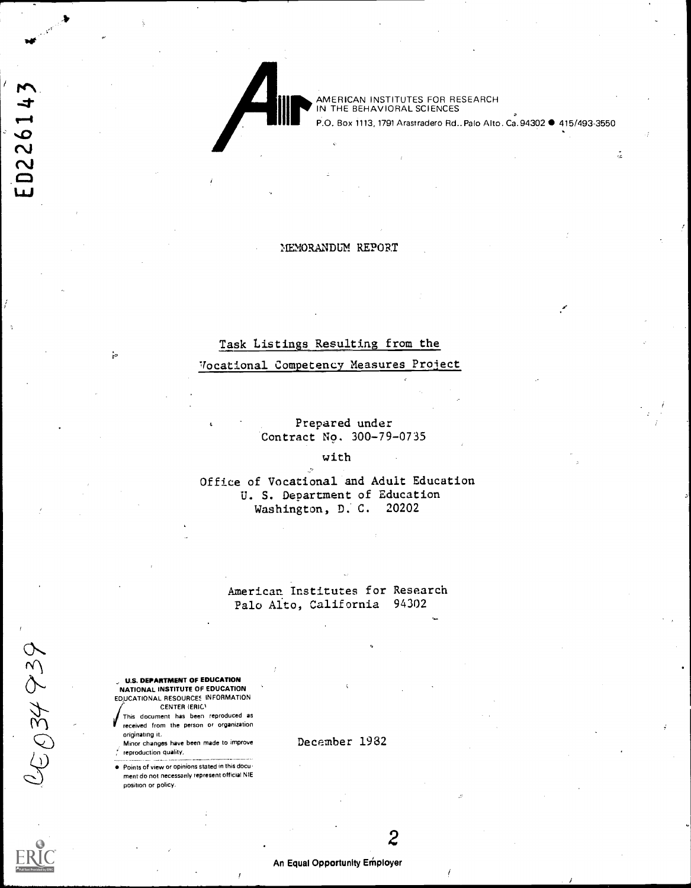ED226143

III E

AMERICAN INSTITUTES FOR RESEARCH IN THE BEHAVIORAL SCIENCES

P.O. Box 1113, 1791 Arastradero Rd., Palo Alto. Ca. 94302 · 415/493-3550

å.

#### MEMORANDUM REPORT

## Task Listings Resulting from the

## Vocational Competency Measures Proiect

Prepared under Contract No. 300-79-0735

## with

Office of Vocational and Adult Education U. S. Department of Education Washington, D. C. 20202

> American Institutes for Research Palo Alto, California 94302

U.S. DEPARTMENT OF EDUCATION NATIONAL INSTITUTE OF EDUCATION EDUCATIONAL RESOURCES INFORMATION CENTER (ERIC)

This document has been reproduced as received from the person or organization originating it.

Minor changes have been made to improve reproduction quality,

Points of view or opinions stated in this document do not necessarily represent official NIE position or policy.

December 1982



05034939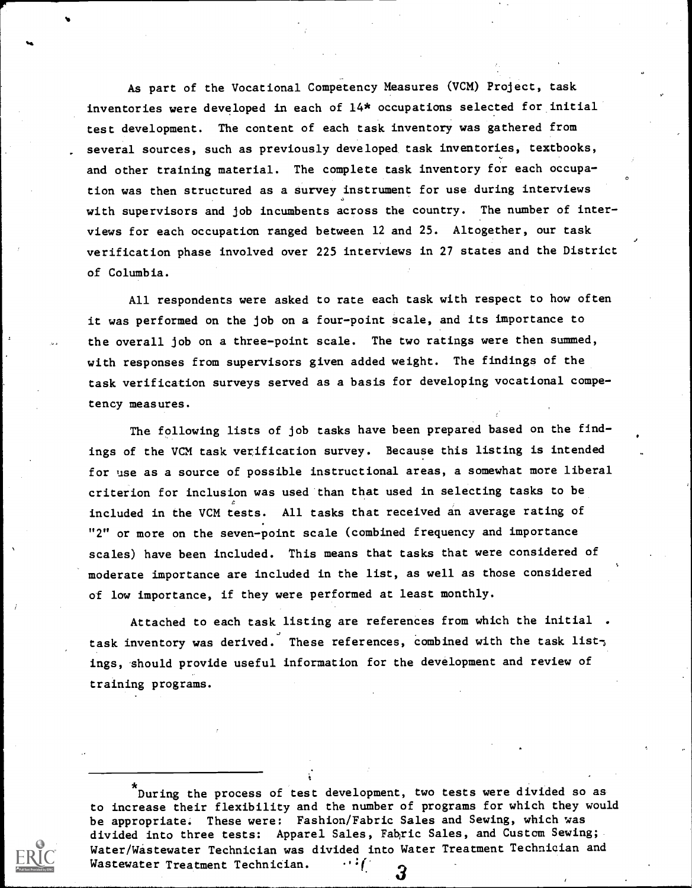As part of the Vocational Competency Measures (VCM) Project, task inventories were developed in each of 14\* occupations selected for initial test development. The content of each task inventory was gathered from several sources, such as previously developed task inventories, textbooks, and other training material. The complete task inventory for each occupation was then structured as a survey instrument for use during interviews with supervisors and job incumbents across the country. The number of interviews for each occupation ranged between 12 and 25. Altogether, our task verification phase involved over 225 interviews in 27 states and the District of Columbia.

 $\mathbf{A}$ 

All respondents were asked to rate each task with respect to how often it was performed on the job on a four-point scale, and its importance to the overall job on a three-point scale. The two ratings were then summed, with responses from supervisors given added weight. The findings of the task verification surveys served as a basis for developing vocational competency measures.

The following lists of job tasks have been prepared based on the findings of the VCM task verification survey. Because this listing is intended for use as a source of possible instructional areas, a somewhat more liberal criterion for inclusion was used than that used in selecting tasks to be included in the VCM tests. All tasks that received an average rating of "2" or more on the seven-point scale (combined frequency and importance scales) have been included. This means that tasks that were considered of moderate importance are included in the list, as well as those considered of low importance, if they were performed at least monthly.

Attached to each task listing are references from which the initial . task inventory was derived. These references, Combined with the task list, ings, should provide useful information for the development and review of training programs.

During the process of test development, two tests were divided so as to increase their flexibility and the number of programs for which they would be appropriate. These were: Fashion/Fabric Sales and Sewing, which was divided into three tests: Apparel Sales, Fahric Sales, and Custcm Sewing; Water/Wastewater Technician was divided into Water Treatment Technician and Wastewater Treatment Technician.  $\cdots$ 3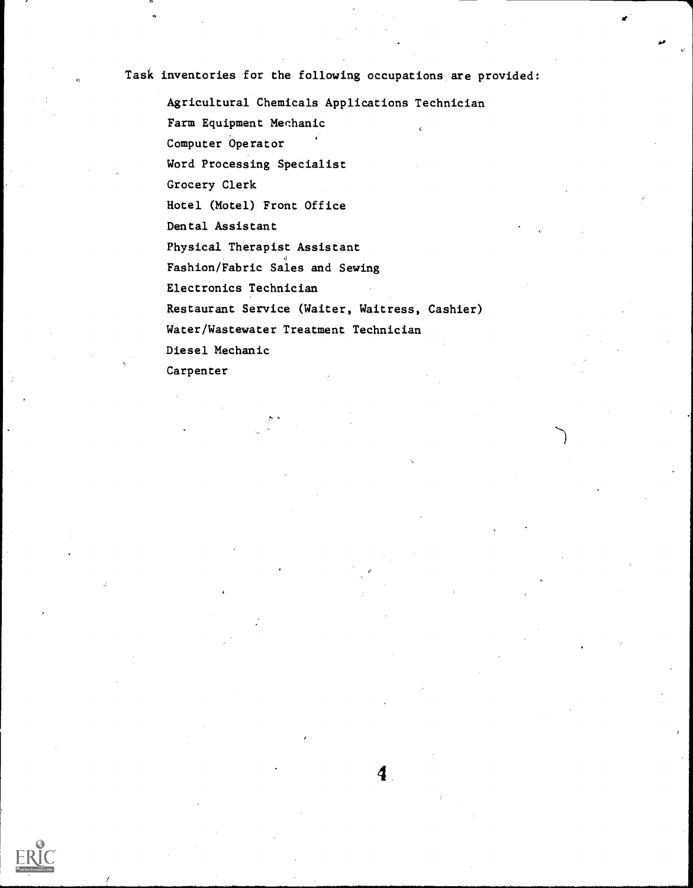Task inventories for the following occupations are provided:

Agricultural Chemicals Applications Technician Farm Equipment Mechanic Computer Operator Word Processing Specialist Grocery Clerk Hotel (Motel) Front Office Dental Assistant Physical Therapist Assistant Fashion/Fabric Sales and Sewing Electronics Technician Restaurant Service (Waiter, Waitress, Cashier) Water/Wastewater Treatment Technician Diesel Mechanic Carpenter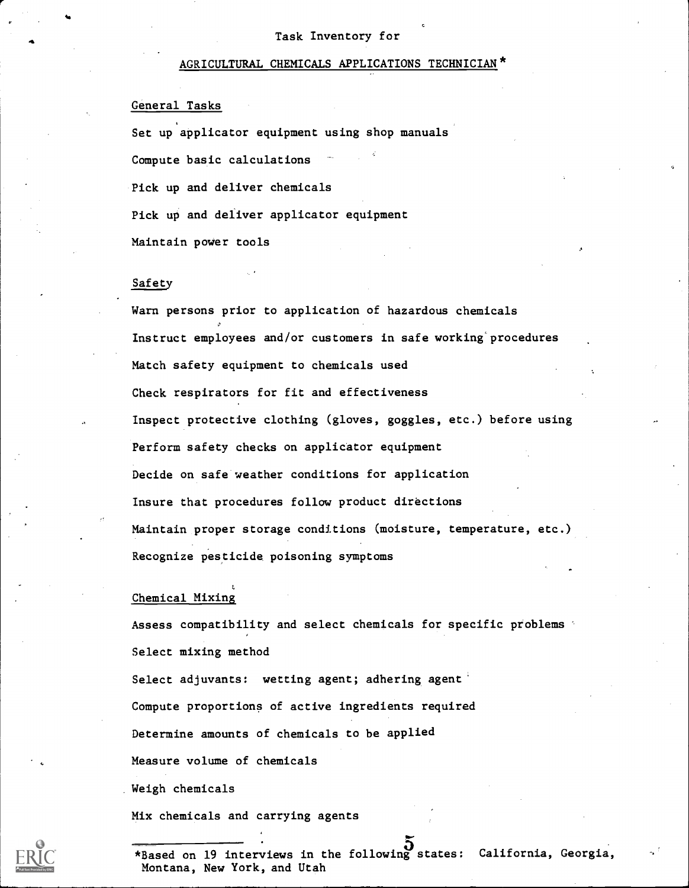## AGRICULTURAL CHEMICALS APPLICATIONS TECHNICIAN\*

## General Tasks

Set up applicator equipment using shop manuals Compute basic calculations Pick up and deliver chemicals Pick up and deliver applicator equipment Maintain power tools

## Safety

Warn persons prior to application of hazardous chemicals Instruct employees and/or customers in safe working'procedures Match safety equipment to chemicals used Check respirators for fit and effectiveness Inspect protective clothing (gloves, goggles, etc.) before using Perform safety checks on applicator equipment Decide on safe weather conditions for application Insure that procedures follow product directions Maintain proper storage conditions (moisture, temperature, etc.) Recognize pesticide poisoning symptoms

#### Chemical Mixing

Assess compatibility and select chemicals for specific problems Select mixing method Select adjuvants: wetting agent; adhering agent Compute proportions of active ingredients required Determine amounts of chemicals to be applied Measure volume of chemicals Weigh chemicals

Mix chemicals and carrying agents

\*Based on 19 interviews in the following states: California, Georgia, Montana, New York, and Utah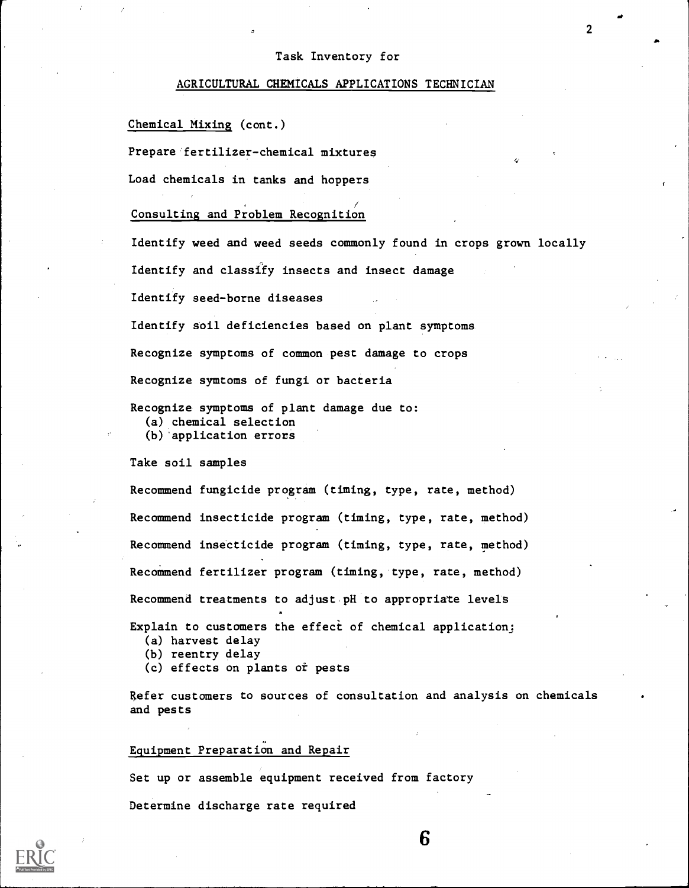2

#### AGRICULTURAL CHEMICALS APPLICATIONS TECHNICIAN

Chemical Mixing (cont.)

Prepare fertilizer-chemical mixtures

Load chemicals in tanks and hoppers

## Consulting and Problem Recognition

Identify weed and weed seeds commonly found in crops grown locally

Identify and classify insects and insect damage

Identify seed-borne diseases

Identify soil deficiencies based on plant symptoms

Recognize symptoms of common pest damage to crops

Recognize symtoms of fungi or bacteria

Recognize symptoms of plant damage due to: (a) chemical selection (b) application errors

Take soil samples

Recommend fungicide program (timing, type, rate, method) Recommend insecticide program (timing, type, rate, method) Recommend insecticide program (timing, type, rate, method) Recommend fertilizer program (timing, type, rate, method) Recommend treatments to adjust pH to appropriate levels

Explain to customers the effect of chemical application:

- (a) harvest delay
- (b) reentry delay
- (c) effects on plants ot pests

Refer customers to sources of consultation and analysis on chemicals and pests

6

Equipment Preparation and Repair

Set up or assemble equipment received from factory

Determine discharge rate required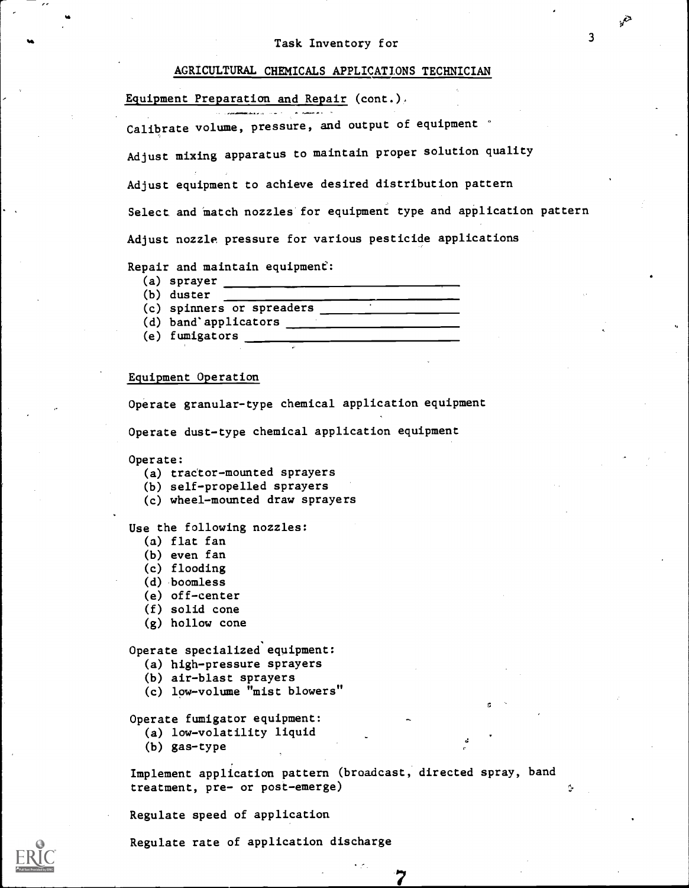## AGRICULTURAL CHEMICALS APPLICATIONS TECHNICIAN

Equipment Preparation and Repair (cont.)

Calibrate volume, pressure, and output of equipment

Adjust mixing apparatus to maintain proper solution quality

Adjust equipment to achieve desired distribution pattern

Select and match nozzles for equipment type and application pattern

Adjust nozzle pressure for various pesticide applications

Repair and maintain equipment:

- (a) sprayer
- (b) duster
- (c) spinners or spreaders
- (d) band'applicators
- (e) fumigators

## Equipment Operation

Operate granular-type chemical application equipment

Operate dust-type chemical application equipment

Operate:

- (a) tractor-mounted sprayers
- (b) self-propelled sprayers
- (c) wheel-mounted draw sprayers

Use the following nozzles:

- (a) flat fan
- (b) even fan
- (c) flooding
- (d) 'boomless
- (e) off-center
- $(f)$  solid cone
- (g) hollow cone

Operate specialized equipment:

- (a) high-pressure sprayers
- (b) air-blast sprayers
- (c) low-volume "mist blowers"

Operate fumigator equipment:

- (a) low-volatility liquid
- (b) gas-type

Implement application pattern (broadcast, directed spray, band treatment, pre- or post-emerge)

a

.j

Regulate speed of application

Regulate rate of application discharge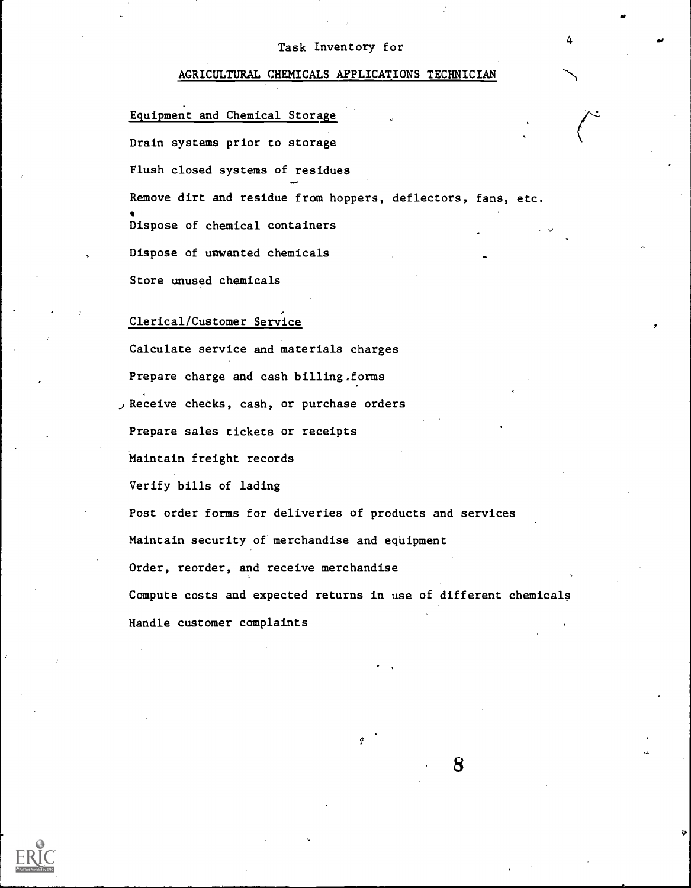4

#### AGRICULTURAL CHEMICALS APPLICATIONS TECHNICIAN

Equipment and Chemical Storaya Drain systems prior to storage Flush closed systems of residues Remove dirt and residue from hoppers, deflectors, fans, etc. Dispose of chemical containers Dispose of unwanted chemicals Store unused chemicals

## Clerical/Customer Service

Calculate service and materials charges Prepare charge and cash billing.forms j Receive checks, cash, or purchase orders Prepare sales tickets or receipts Maintain freight records Verify bills of lading Post order forms for deliveries of products and services Maintain security of merchandise and equipment Order, reorder, and receive merchandise Compute costs and expected returns in use of different chemicals Handle customer complaints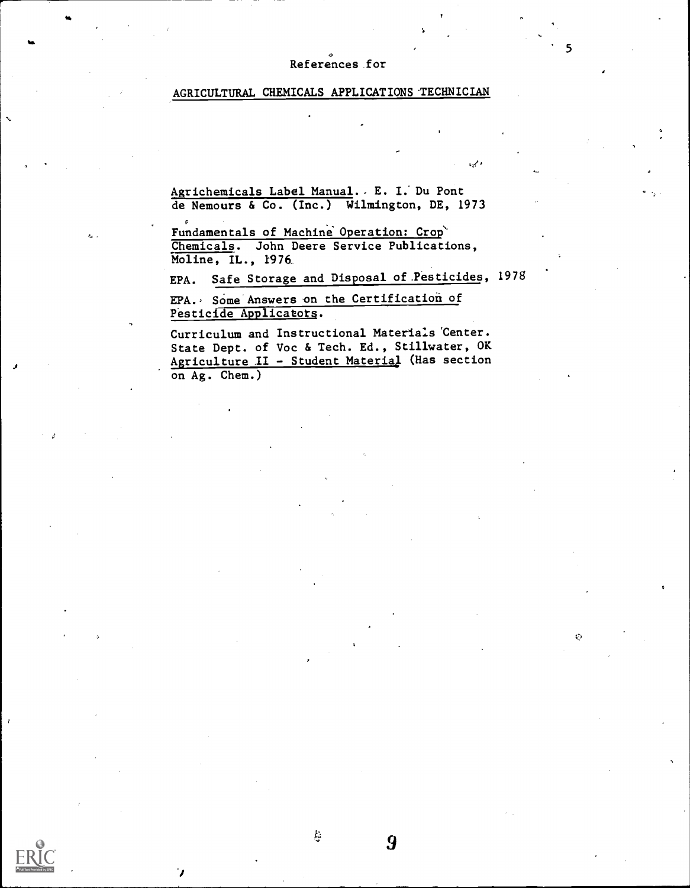## References for

## AGRICULTURAL CHEMICALS APPLICATIONS TECHNICIAN

Agrichemicals Label Manual.. E. I. Du Pont de Nemours & Co. (Inc.) Wilmington, DE, 1973

Fundamentals of Machine Operation: Crop Chemicals. John Deere Service Publications, Moline, IL., 1976\_

c

 $\mathbf{r}$ 

EPA. Safe Storage and Disposal of.Pesticides, 1978

EPA. Some Answers on the Certification of Pesticide Applicators.

ķ.

9

Curriculum and Instructional Materials 'Center. State Dept. of Voc & Tech. Ed., Stillwater, OK Agriculture II - Student Material (Has section on Ag. Chem.)

 $\ddot{\mathcal{O}}$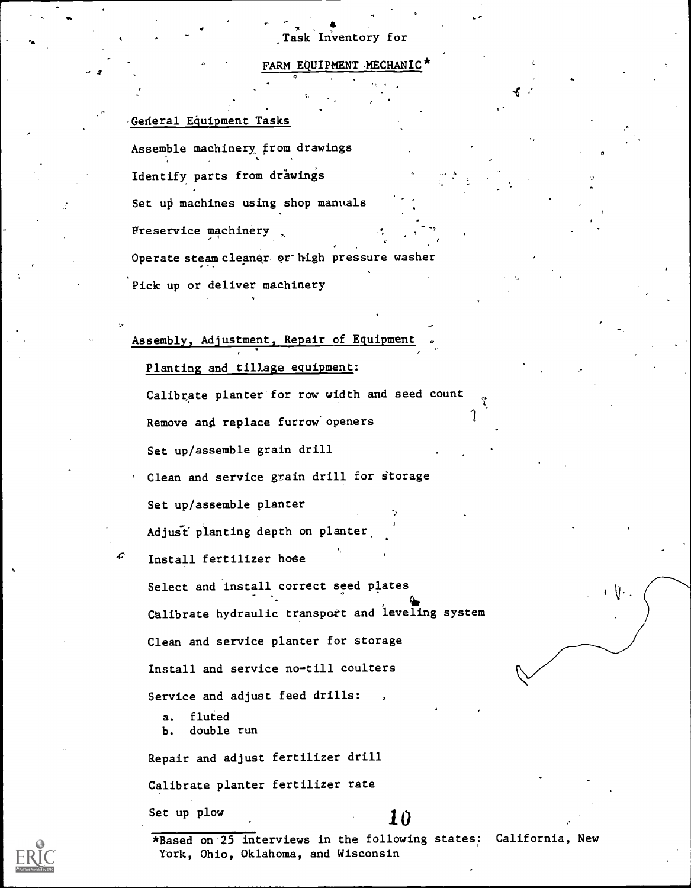## FARM EQUIPMENT MECHANIC

## .Gederal Equipment Tasks

Assemble machinery from drawings Identify parts from drawings Set up machines using shop manuals Freservice machinery

Operate steam cleaner or high pressure washer

Pick up or deliver machinery

## Assembly, Adjustment, Repair of Equipment

Planting and tillage equipment:

Calibrate planter for row width and seed count

Remove and replace furrow openers

Set up/assemble grain drill

Clean and service grain drill for storage

Set up/assemble planter

Adjust planting depth on planter.

Install fertilizer hode

Select and install correct seed plates Calibrate hydraulic transport and leveling system Clean and service planter for storage Install and service no-till coulters Service and adjust feed drills:

a. fluted b. double run

Repair and adjust fertilizer drill

Calibrate planter fertilizer rate

Set up plow  $10$ 

, -

 $\iota$ 

\*Based on 25 interviews in the following states: California, New York, Ohio, Oklahoma, and Wisconsin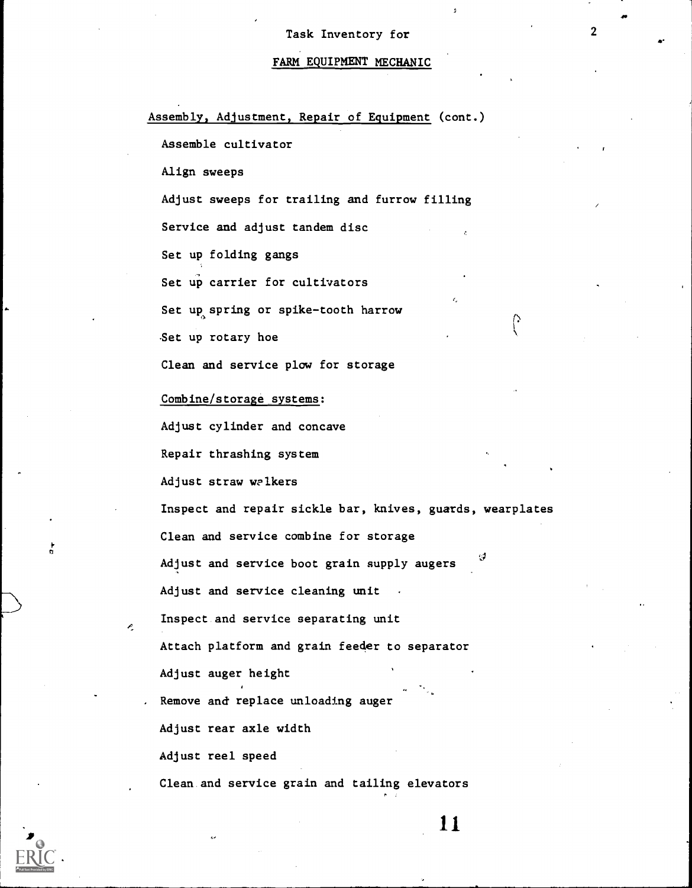$\overline{2}$ 

2

# FARM EQUIPMENT MECHANIC

| Assembly, Adjustment, Repair of Equipment (cont.)         |
|-----------------------------------------------------------|
| Assemble cultivator                                       |
| Align sweeps                                              |
| Adjust sweeps for trailing and furrow filling             |
| Service and adjust tandem disc                            |
| Set up folding gangs                                      |
| Set up carrier for cultivators                            |
| Set up spring or spike-tooth harrow                       |
| Set up rotary hoe                                         |
| Clean and service plow for storage                        |
| Combine/storage systems:                                  |
| Adjust cylinder and concave                               |
| Repair thrashing system                                   |
| Adjust straw walkers                                      |
| Inspect and repair sickle bar, knives, guards, wearplates |
| Clean and service combine for storage                     |
| g<br>Adjust and service boot grain supply augers          |
| Adjust and service cleaning unit                          |
| Inspect and service separating unit                       |
| Attach platform and grain feeder to separator             |
| Adjust auger height                                       |
| Remove and replace unloading auger                        |
| Adjust rear axle width                                    |
| Adjust reel speed                                         |
| Clean and service grain and tailing elevators             |

11



 $\frac{1}{\alpha}$ 

 $\tilde{\mathcal{L}}$ 

ī,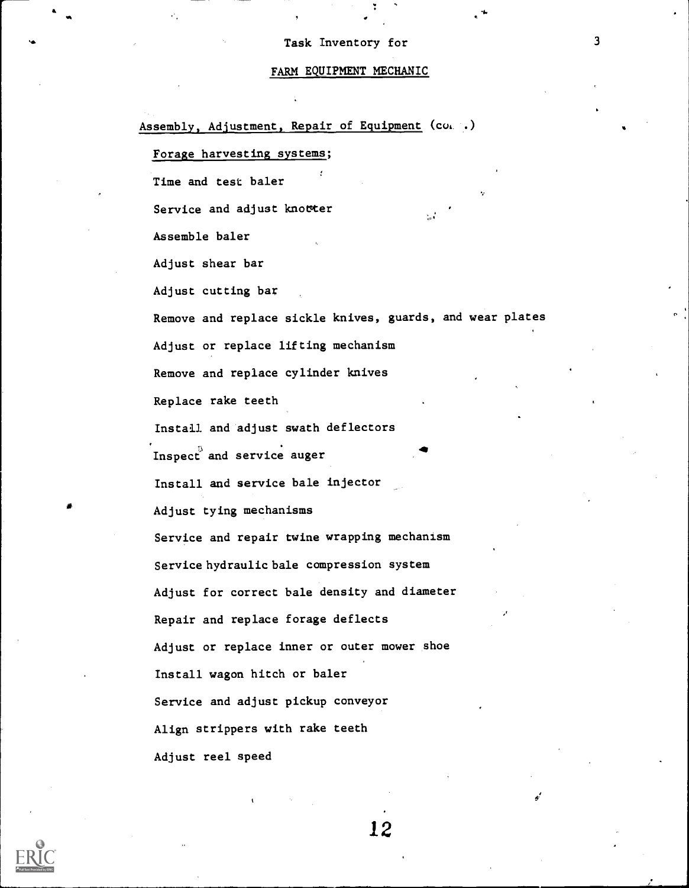#### FARM EQUIPMENT MECHANIC

Assembly, Adjustment, Repair of Equipment (co. .) Forage harvesting systems; Time and test baler Service and adjust knowter Assemble baler Adjust shear bar Adjust cutting bar Remove and replace sickle knives, guards, and wear plates Adjust or replace lifting mechanism Remove and replace cylinder knives Replace rake teeth Install and adjust swath deflectors Inspect and service auger Install and service bale injector Adjust tying mechanisms Service and repair twine wrapping mechanism Service hydraulic bale compression system Adjust for correct bale density and diameter Repair and replace forage deflects Adjust or replace inner or outer mower shoe Install wagon hitch or baler Service and adjust pickup conveyor Align strippers with rake teeth Adjust reel speed

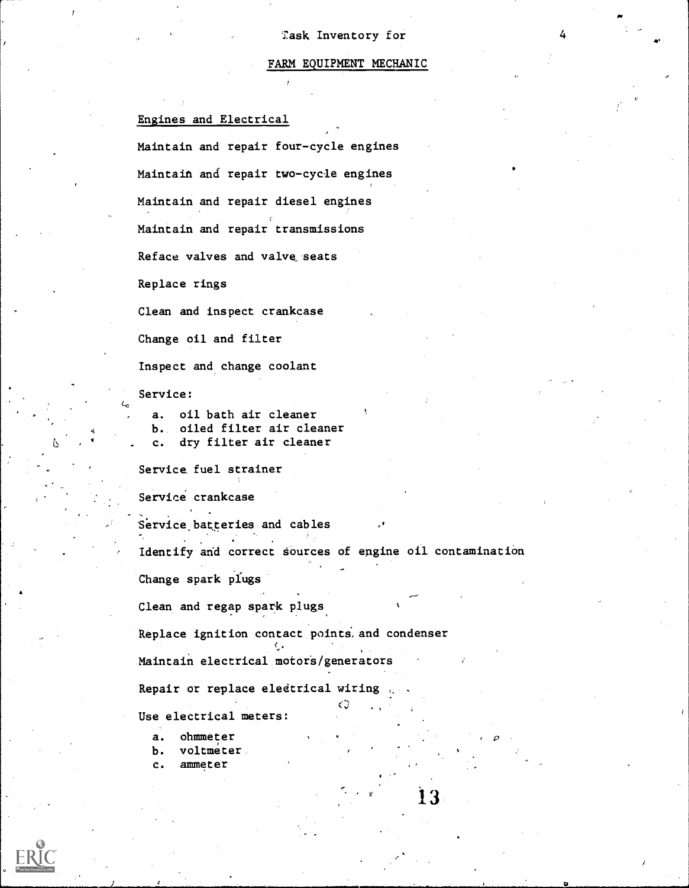#### FARM EQUIPMENT MECHANIC

13

p

#### Engines and Electrical

Maintain and repair four-cycle engines Maintain and repair two-cycle engines Maintain and repair diesel engines Maintain and repair transmissions Reface valves and valve seats Replace rings Clean and inspect crankcase Change oil and filter Inspect and change coolant Service: a. oil bath air cleaner b. oiled filter air cleaner c. dry filter air cleaner Service fuel strainer Service crankcase  $-$ Service batteries and cables Identify and correct Sources of engine oil contamination Change spark plugs Clean and regap spark plugs Replace ignition contact points, and condenser Maintain electrical motors/generators Repair or replace eledtrical wiring , Use electrical meters:

- a. ohmmeter
- b. voltmeter
- c. ammeter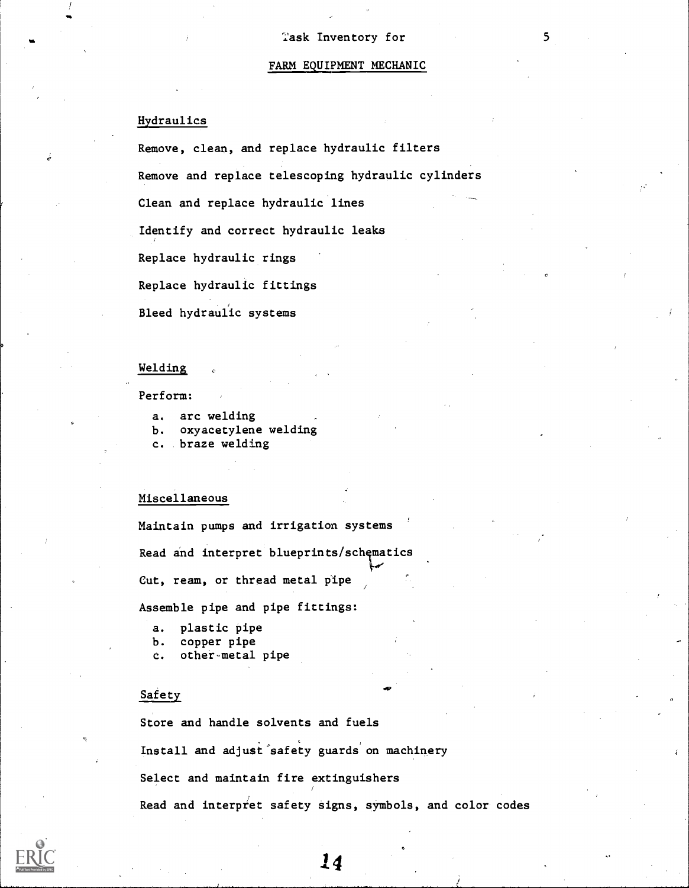#### FARM EQUIPMENT MECHANIC

## Hydraulics

Remove, clean, and replace hydraulic filters Remove and replace telescoping hydraulic cylinders Clean and replace hydraulic lines Identify and correct hydraulic leaks Replace hydraulic rings Replace hydraulic fittings Bleed hydraulic systems

## Welding

#### Perform:

- a. arc welding
- b. oxyacetylene welding
- c. braze welding

## Miscellaneous

Maintain pumps and irrigation systems Read and interpret blueprints/schematics Cut, ream, or thread metal pipe

Assemble pipe and pipe fittings:

- a. plastic pipe
- b. copper pipe
- c. other-metal pipe

## Safety

Store and handle solvents and fuels Install and adjust safety guards on machinery Select and maintain fire extinguishers Read and interpret safety signs, symbols, and color codes

14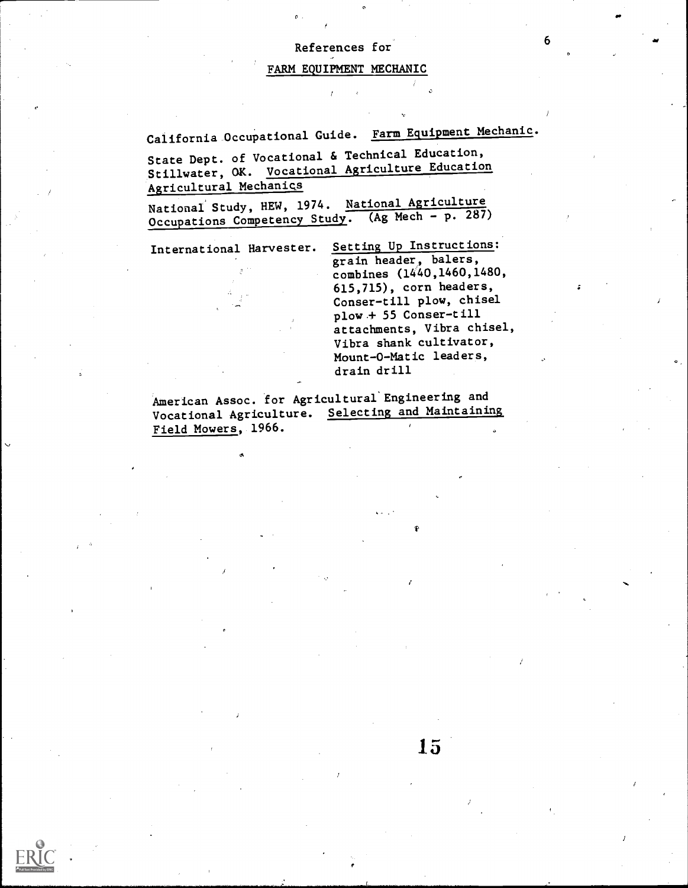## References for

#### FARM EQUIPMENT MECHANIC

California Occupational Guide. Farm Equipment Mechanic.

State Dept. of Vocational & Technical Education, Stillwater, OK. Vocational Agriculture Education Agricultural Mechanics

National Study, HEW, 1974. National Agriculture Occupations Competency Study. (Ag Mech - p. 287)

International Harvester. Setting Up Instructions: grain header, balers, combines (1440,1460,1480, 615,715), corn headers, Conser-till plow, chisel plow + 55 Conser-till attachments, Vibra chisel, Vibra shank cultivator, Mount-O-Matic leaders, drain drill

15

American Assoc. for Agricultural'Engineering and Vocational Agriculture. Selecting and Maintaining Field Mowers, 1966.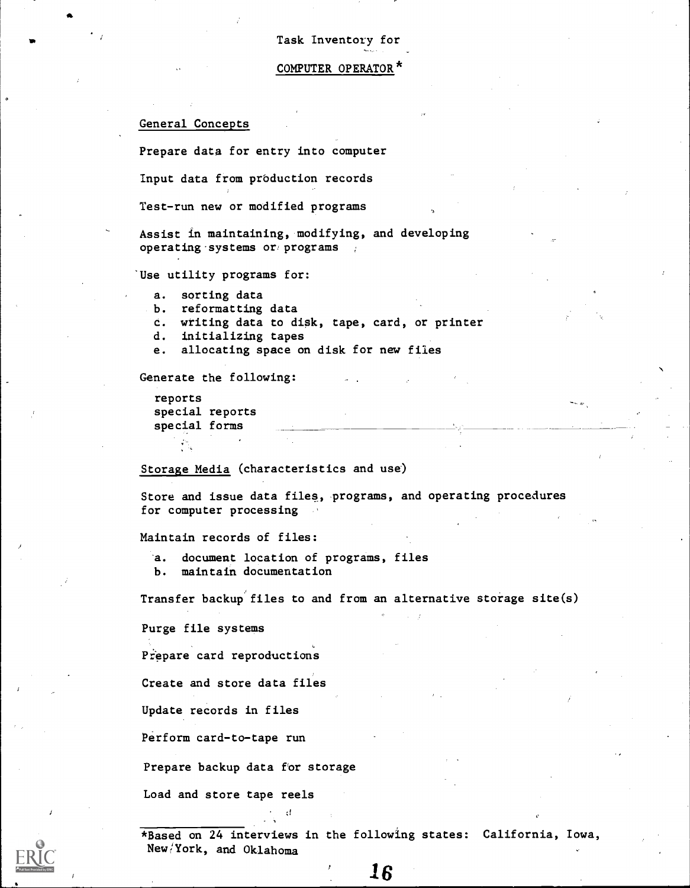COMPUTER OPERATOR\*

## General Concepts

Prepare data for entry into computer

Input data from production records

Test-run new or modified programs

Assist in maintaining, modifying, and developing operating systems or programs

Use utility programs for:

- a. sorting data
- b. reformatting data
- c. writing data to disk, tape, card, or printer
- d. initializing tapes
- e. allocating space on disk for new files

Generate the following:

reports special reports special forms

Storage Media (characteristics and use)

Store and issue data files, programs, and operating procedures for computer processing

Maintain records of files:

- a. document location of programs, files
- b. maintain documentation

Transfer backup files to and from an alternative storage site(s)

Purge file systems

Prepare card reproductions

Create and store data files

Update records in files

Perform card-to-tape run

Prepare backup data for storage

 $\cdot$  !

Load and store tape reels

\*Based on 24 interviews in the following states: California, Iowa, New/York, and Oklahoma

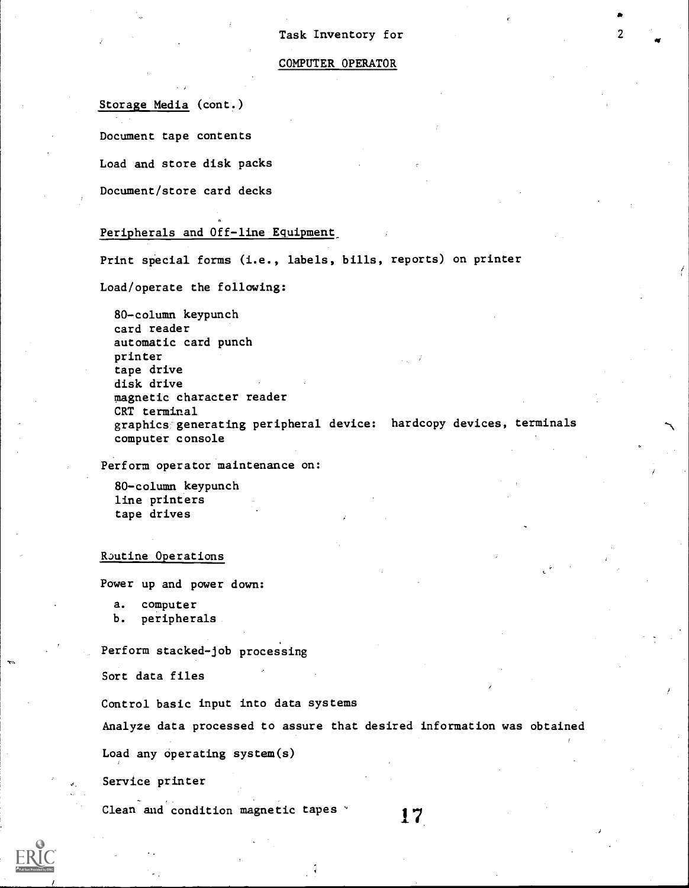#### COMPUTER OPERATOR

Storage Media (cont.)

Document tape contents

Load and store disk packs

Document/store card decks

## Peripherals and Off-line Equipment

Print special forms (i.e., labels, bills, reports) on printer

Load/operate the following:

80-column keypunch card reader automatic card punch printer tape drive disk drive magnetic character reader CRT terminal graphics generating peripheral device: hardcopy devices, terminals computer console

Perform operator maintenance on:

80-column keypunch line printers tape drives

RJutine Operations

Power up and power down:

a. computer

b. peripherals

Perform stacked-job processing

Sort data files

Control basic input into data systems

Analyze data processed to assure that desired information was obtained

Load any operating system(s)

Service printer

Clean and condition magnetic tapes 17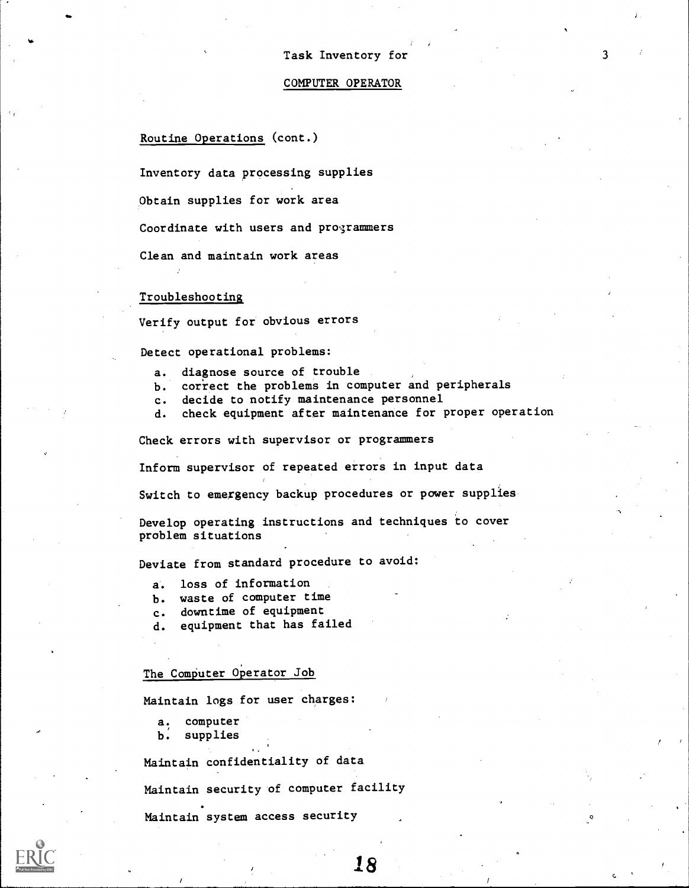#### COMPUTER OPERATOR

## Routine Operations (cont.)

Inventory data processing supplies

Obtain supplies for work area

Coordinate with users and programmers

Clean and maintain work areas

#### Troubleshooting

Verify output for obvious errors

Detect operational problems:

- a. diagnose source of trouble
- b. correct the problems in computer and peripherals
- c. decide to notify maintenance personnel
- d. check equipment after maintenance for proper operation

18

Check errors with supervisor or programmers

Inform supervisor of repeated errors in input data

Switch to emergency backup procedures or power supplies

Develop operating instructions and techniques to cover problem situations

Deviate from standard procedure to avoid:

a. loss of information

- b. waste of computer time
- c. downtime of equipment
- d. equipment that has failed

## The Computer Operator Job

Maintain logs for user charges:

- a. computer
- b. supplies

Maintain confidentiality of data

Maintain security of computer facility

Maintain system access security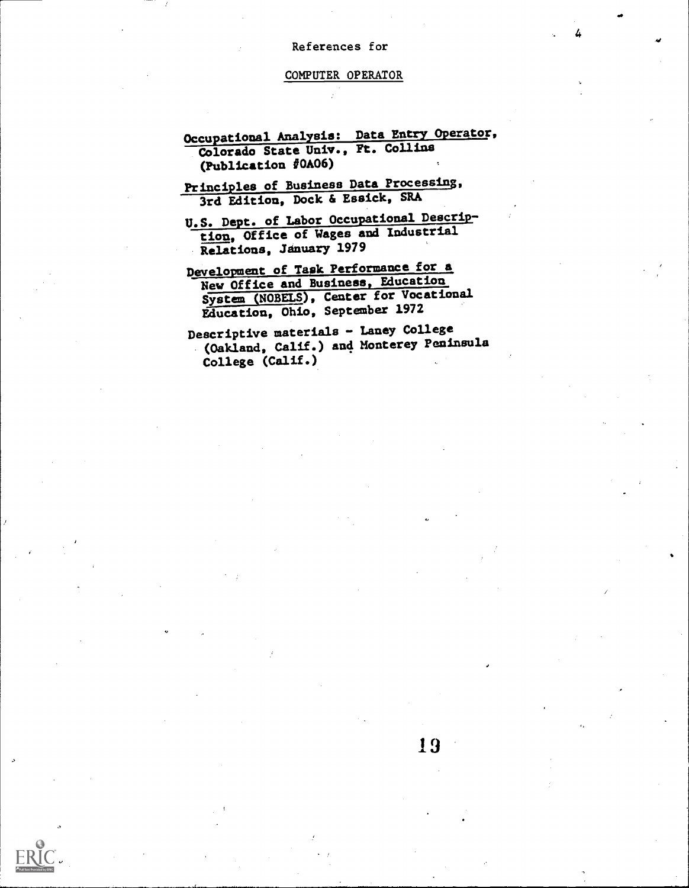#### References for

4

#### COMPUTER OPERATOR

- Occupational Analysis: Data Entry Operator, Colorado State Univ., Ft. Collins (Publication  $\sqrt{40A06}$ )
- Principles of Business Data Processing, 3rd Edition, Dock & Essick, SRA
- U.S. Dept. of Labor Occupational Description, Office of Wages and Industrial Relations, January 1979
- Development of Task Performance for a New Office and Business, Education System (NOBELS), Center for Vocational Education, Ohio, September 1972
- Descriptive materials Laney College (Oakland, Calif.) and Monterey Peninsula College (Calif.)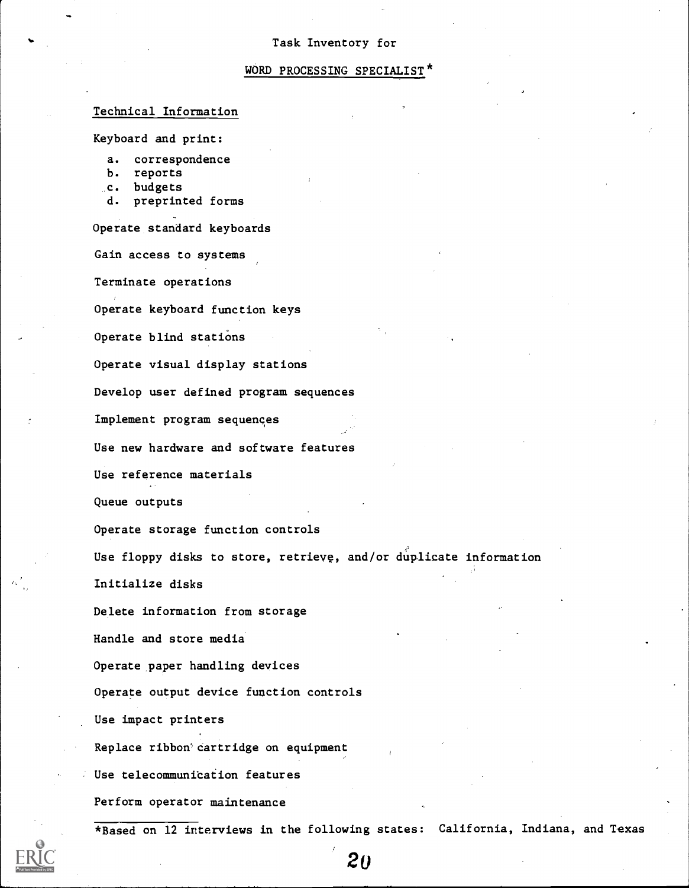#### WORD PROCESSING SPECIALIST'

## Technical Information

Keyboard and print:

a. correspondence

- b. reports
- .c. budgets
- d. preprinted forms

Operate standard keyboards

Gain access to systems

Terminate operations

Operate keyboard function keys

Operate blind stations

Operate visual display stations

Develop user defined program sequences

Implement program sequences

Use new hardware and software features

Use reference materials

Queue outputs

Operate storage function controls

Use floppy disks to store, retrieve, and/or duplicate information

Initialize disks

Delete information from storage

Handle and store media

Operate paper handling devices

Operate output device function controls

Use impact printers

Replace ribbon' cartridge on equipment

Use telecommunication features

Perform operator maintenance

\*Based on 12 interviews in the following states: California, Indiana, and Texas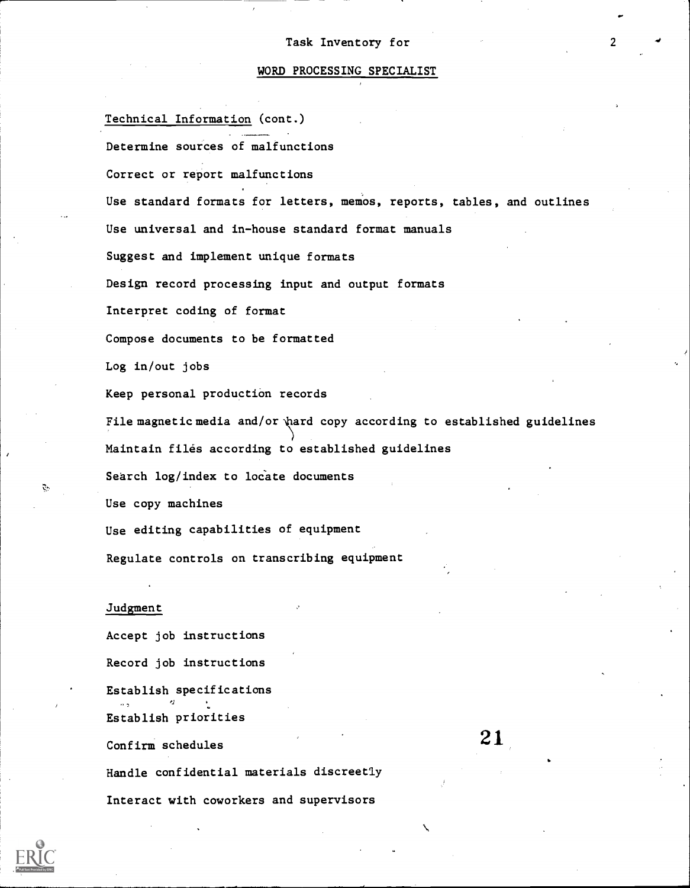#### WORD PROCESSING SPECIALIST

Technical Information (cont.) ---- Determine sources of malfunctions Correct or report malfunctions Use standard formats for letters, memos, reports, tables, and outlines Use universal and in-house standard format manuals Suggest and implement unique formats Design record processing input and output formats Interpret coding of format Compose documents to be formatted Log in/out jobs Keep personal production records File magnetic media and/or  $\hat{z}$  and copy according to established guidelines Maintain files according to established guidelines Search log/index to locate documents Use copy machines Use editing capabilities of equipment Regulate controls on transcribing equipment

## Judgment

Accept job instructions Record job instructions Establish specifications  $\mathbf{r}$   $\mathbf{r}$   $\mathbf{r}$ Establish priorities Confirm schedules Handle confidential materials discreetly

Interact with coworkers and supervisors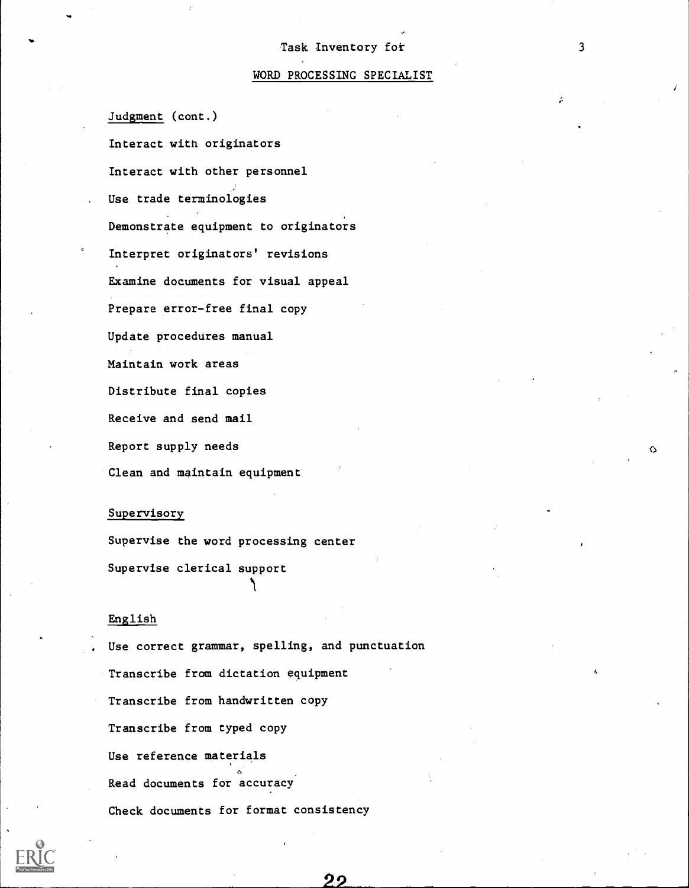#### WORD PROCESSING SPECIALIST

Judgment (cont.)

Interact with originators Interact with other personnel . Use trade terminologies Demonstrate equipment to originators Interpret originators' revisions Examine documents for visual appeal Prepare error-free final copy Update procedures manual Maintain work areas Distribute final copies Receive and send mail Report supply needs Clean and maintain equipment

#### Supervisory

Supervise the word processing center Supervise clerical support

## English

Use correct grammar, spelling, and punctuation Transcribe from dictation equipment Transcribe from handwritten copy Transcribe from typed copy Use reference materials Read documents for accuracy Check documents for format consistency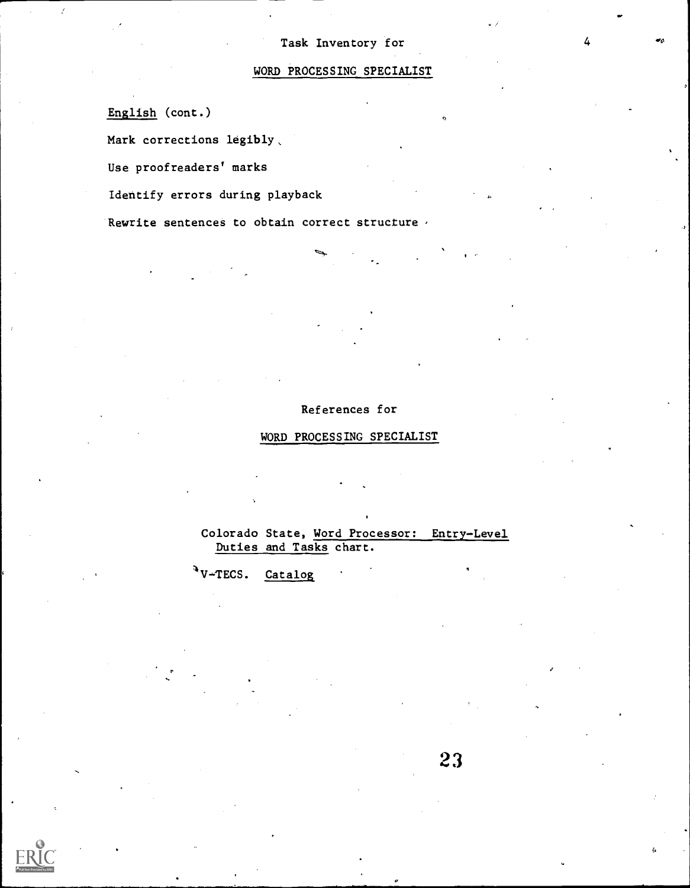$\bullet_6$ 

# WORD PROCESSING SPECIALIST

English (cont.)

Mark corrections legibly.

Use proofreaders' marks

Identify errors during playback

Rewrite sentences to obtain correct structure  $\epsilon$ 

## References for

## WORD PROCESSING SPECIALIST

Colorado State, Word Processor: Entry-Level Duties and Tasks chart.

 $\sqrt[4]{V+TECS}$ . Catalog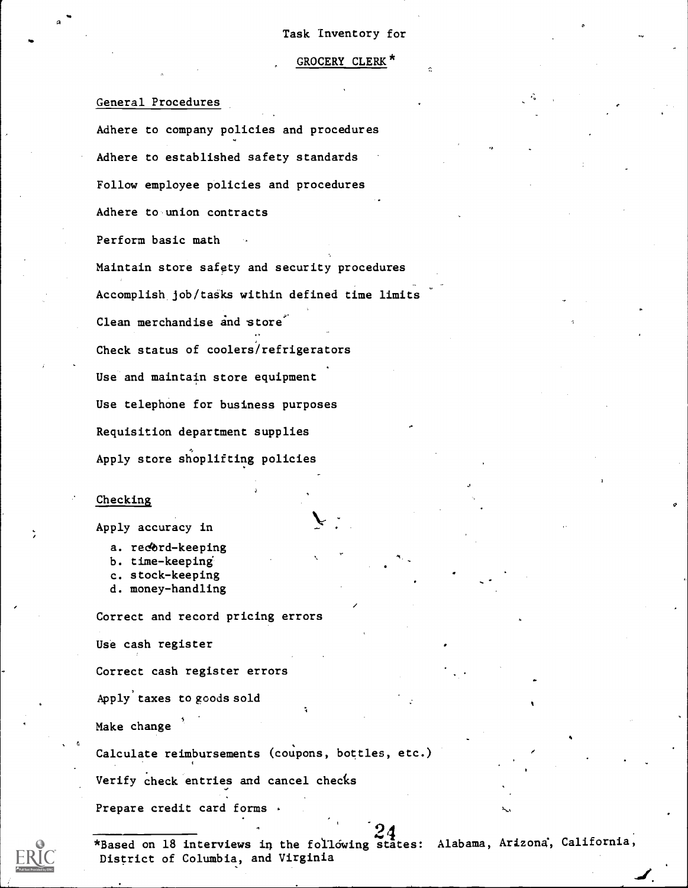## GROCERY CLERK\*

General Procedures

Adhere to company policies and procedures Adhere to established safety standards Follow employee policies and procedures Adhere to union contracts Perform basic math Maintain store safety and security procedures Accomplish job/tasks within defined time limits Clean merchandise and store Check status of coolers/refrigerators Use and maintain store equipment Use telephone for business purposes Requisition department supplies Apply store shoplifting policies

#### Checking

Apply accuracy in

- a. record-keeping
- b. time-keeping
- c. stock-keeping
- d. money-handling

Correct and record pricing errors

Use cash register

Correct cash register errors

Apply'taxes to goods sold

Make change

Calculate reimbursements (coupons, bottles, etc.)

Verify check entries and cancel checks

Prepare credit card forms



\*Based on 18 interviews in the following states: Alabama, Arizona, California, District of Columbia, and Virginia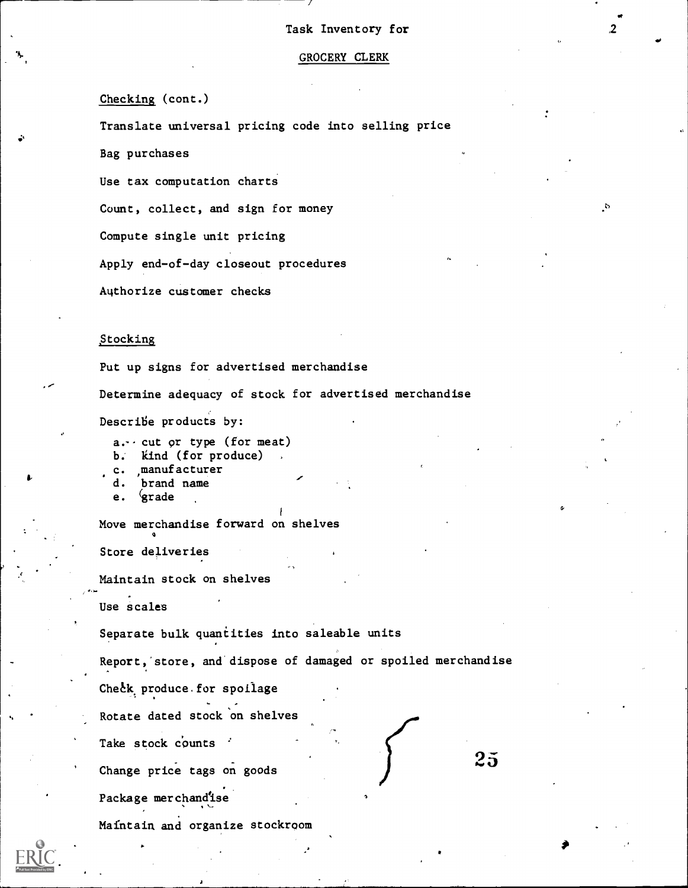$2^{\circ}$ 

.0

#### GROCERY CLERK

## Checking (cont.)

Translate universal pricing code into selling price

Bag purchases

Use tax computation charts

Count, collect, and sign for money

Compute single unit pricing

Apply end-of-day closeout procedures

Authorize customer checks

#### Stocking

Put up signs for advertised merchandise Determine adequacy of stock for advertised merchandise Describe products by:

 $a \cdot \cdot$  cut or type (for meat)

b. Kind (for produce)

c. manufacturer

d. brand name

e. *grade* 

Move merchandise forward on shelves

Store deliveries

Maintain stock on shelves

Use scales

Separate bulk quantities into saleable units

Report, store, and'dispose of damaged or spoiled merchandise

 $25$ 

Check produce for spoilage

Rotate dated stock'on shelves

Take stock counts

Change price tags on goods

Package merchandise

Maintain and organize stockroom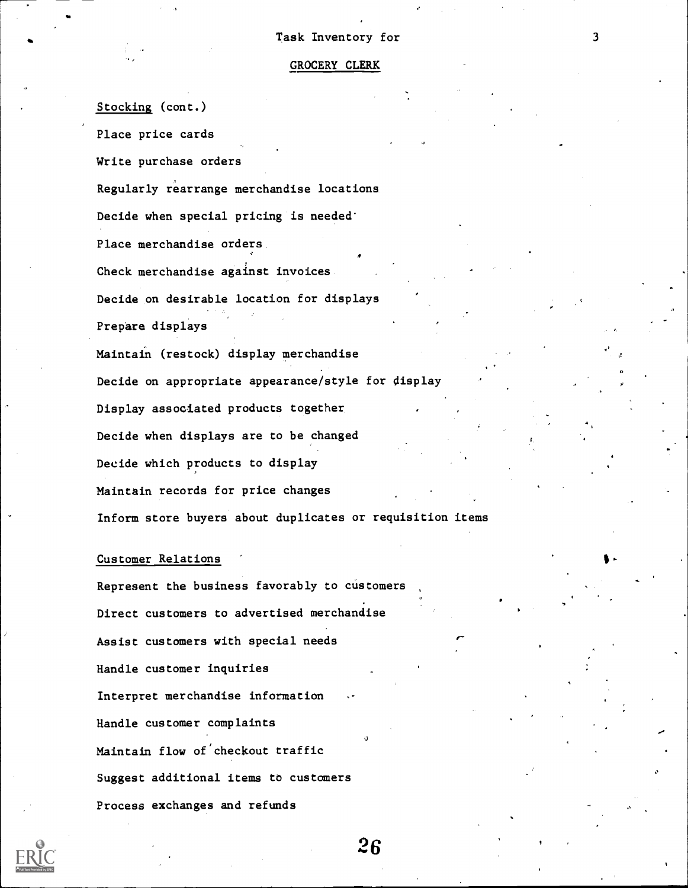#### GROCERY CLERK

Stocking (cont.)

Place price cards

Write purchase orders

Regularly rearrange merchandise locations

Decide when special pricing is needed'

Place merchandise orders

Check merchandise against invoices

Decide on desirable location for displays

Prepare displays

Maintain (restock) display merchandise Decide on appropriate appearance/style for display Display associated products together, Decide when displays are to be changed Decide which products to display Maintain records for price changes Inform store buyers about duplicates or requisition items

#### Customer Relations

Represent the business favorably to customers Direct customers to advertised merchandise Assist customers with special needs Handle customer inquiries Interpret merchandise information Handle customer complaints Ii Maintain flow of'checkout traffic Suggest additional items to customers Process exchanges and refunds

 $26$ 

r-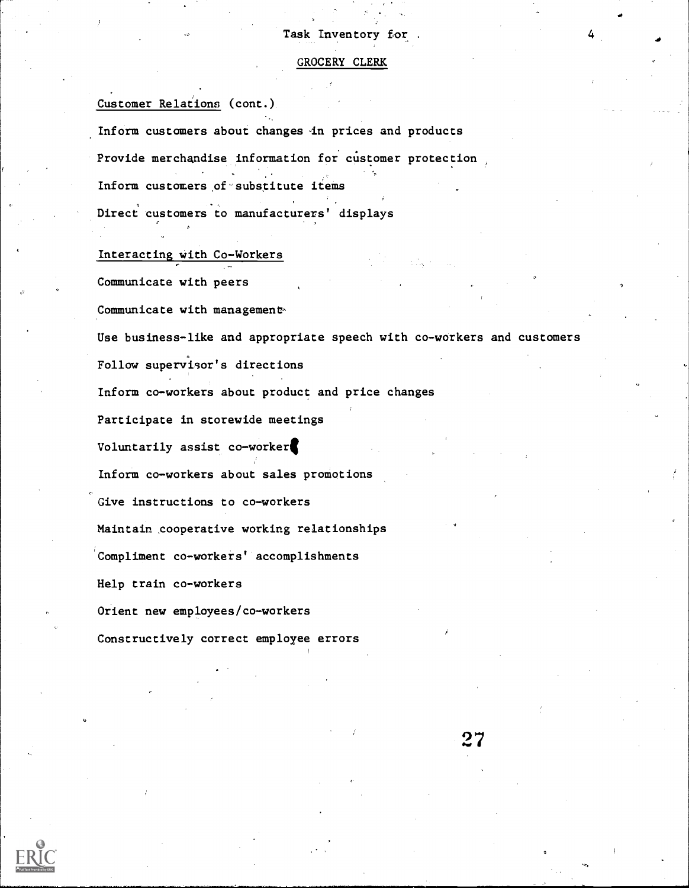## GROCERY CLERK

Customer Relations (cont.) Inform customers about changes in prices and products Provide merchandise information for customer protection Inform customers of substitute items Direct customers to manufacturers' displays

Interacting with Co-Workers

Communicate with peers Communicate with management-Use business-like and appropriate speech with co-workers and customers Follow supervisor's directions Inform co-workers about product and price changes Participate in storewide meetings Voluntarily assist co-workerl Inform co-workers about sales promotions Give instructions to co-workers Maintain cooperative working relationships Compliment co-workers' accomplishments Help train co-workers Orient new employees/co-workers Constructively correct employee errors



27

0

et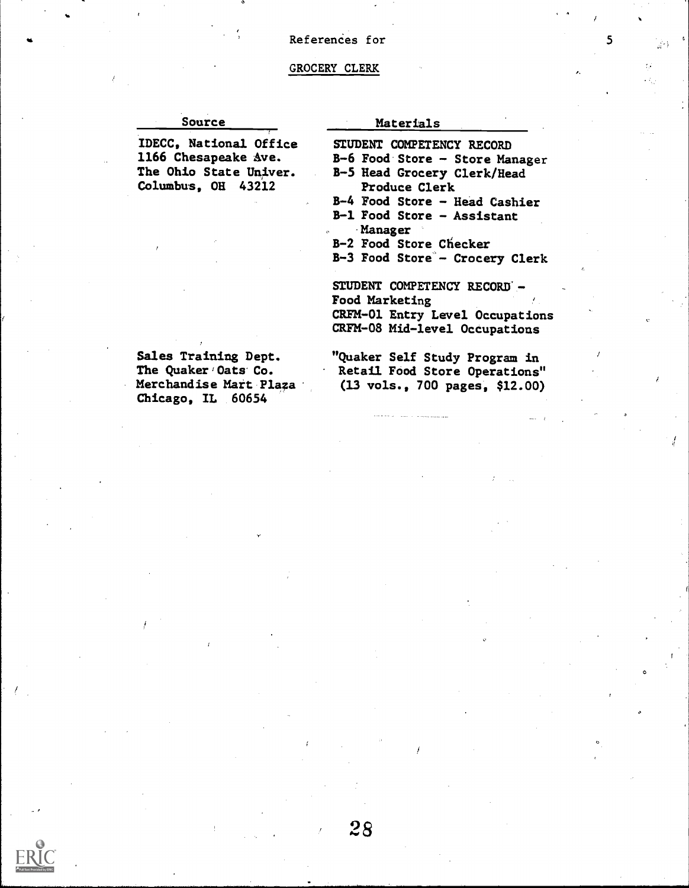## $\bullet$   $\bullet$  5  $\circ$   $\bullet$  References for 5  $\circ$  5  $\circ$

#### GROCERY CLERK

#### Source

IDECC, National Office 1166 Chesapeake Ave. The Ohio State Univer. Columbus, OH 43212

Materials

- STUDENT COMPETENCY RECORD
- B-6 Food-Store Store Manager B-5 Head Grocery Clerk/Head

 $\ddot{\phantom{a}}$ 

- Produce Clerk
- B-4 Food Store Head Cashier
- B-1 Food Store Assistant -Manager
- B-2 Food Store Checker
- B-3 Food Store'- Crocery Clerk

STUDENT COMPETENCY RECORD -Food Marketing CRFM-01 Entry Level Occupations CRFM-08 Mid-level Occupations

Sales Training Dept. The Quaker Oats Co. Merchandise Mart Plaza Chicago, IL 60654

"Quaker Self Study Program in Retail Food Store Operations" (13 vols., 700 pages, \$12.00)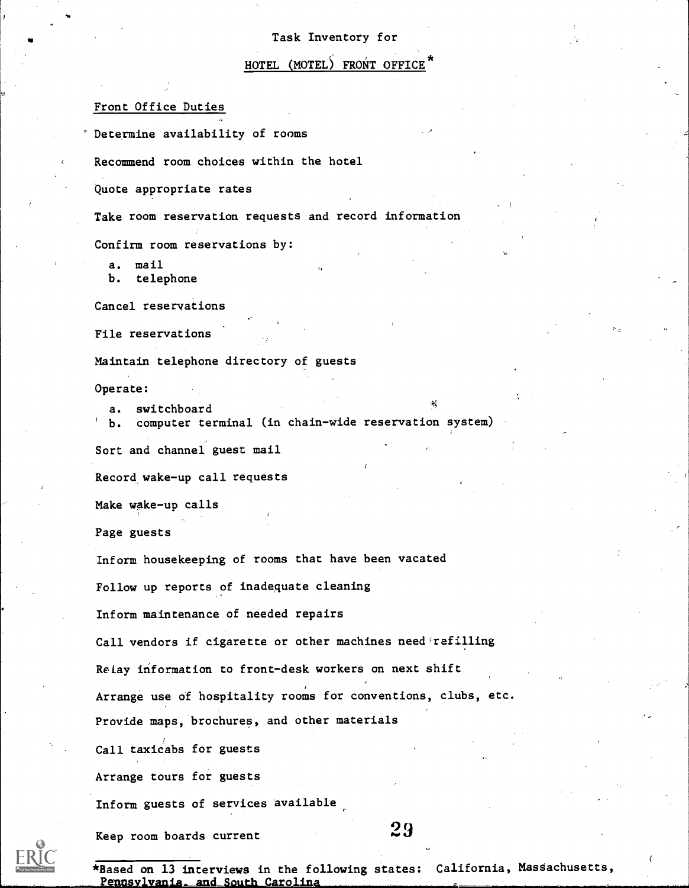## HOTEL (MOTEL) FRONT OFFICE

#### Front Office Duties

Determine availability of rooms

Recommend room choices within the hotel

Quote appropriate rates

Take room reservation requests and record information

Confirm room reservations by:

a. mail

b. telephone

Cancel reservations

File reservations

Maintain telephone directory of guests

Operate:

a. switchboard b. computer terminal (in chain-wide reservation system) Sort and channel guest mail Record wake-up call requests

Make wake-up calls

Page guests

Inform housekeeping of rooms that have been vacated

Follow up reports of inadequate cleaning

Inform maintenance of needed repairs

Call vendors if cigarette or other machines need'refilling

Relay information to front-desk workers on next shift

Arrange use of hospitality rooms for conventions, clubs, etc.

Provide maps, brochures, and other materials

Call taxicabs for guests

Arrange tours for guests

Inform guests of services available

Keep room boards current  $29$ 

\*Based on 13 interviews in the following states: California, Massachusetts, Pennsylvania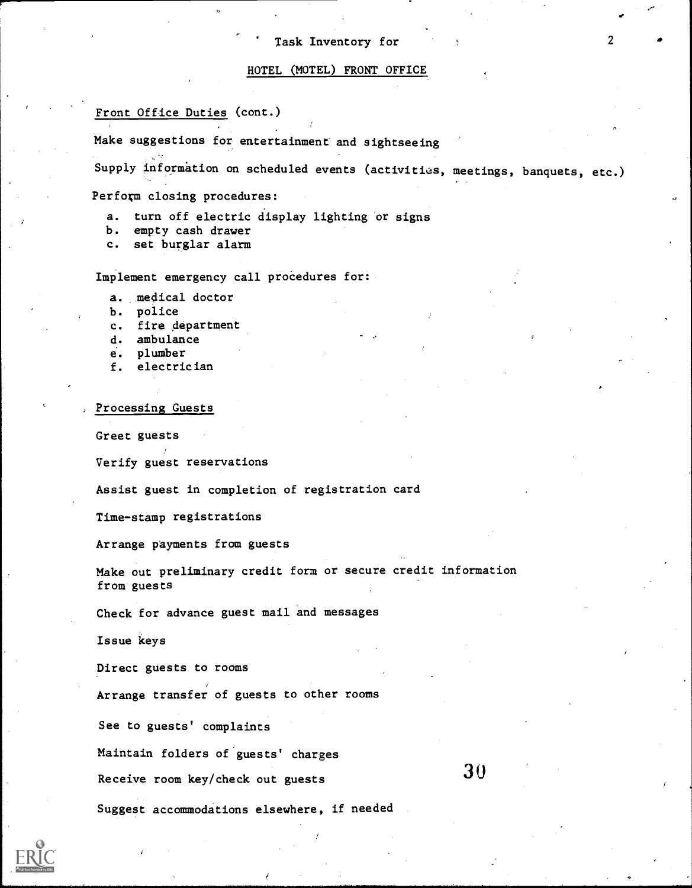## HOTEL (MOTEL) FRONT OFFICE

## Front Office Duties (cont.)

Make suggestions for entertainment and sightseeing

Supply information on scheduled events (activities, meetings, banquets, etc.)

Perform closing procedures:

a. turn off electric display lighting or signs<br>b. empty cash drawer

- empty cash drawer
- c. set burglar alarm

Implement emergency call procedures for:

a. medical doctor

b. police

c. fire department

- d. ambulance
- e. plumber
- f. electrician

Processing Guests

Greet guests

Verify guest reservations

Assist guest in completion of registration card

Time-stamp registrations

Arrange payments from guests

Make out preliminary credit form or secure credit information from guests

30

r

Check for advance guest mail and messages

Issue keys

Direct guests to rooms

Arrange transfer of guests to other rooms

See to guests' complaints

Maintain folders of guests' charges

Receive room key/check out guests

Suggest accommodations elsewhere, if needed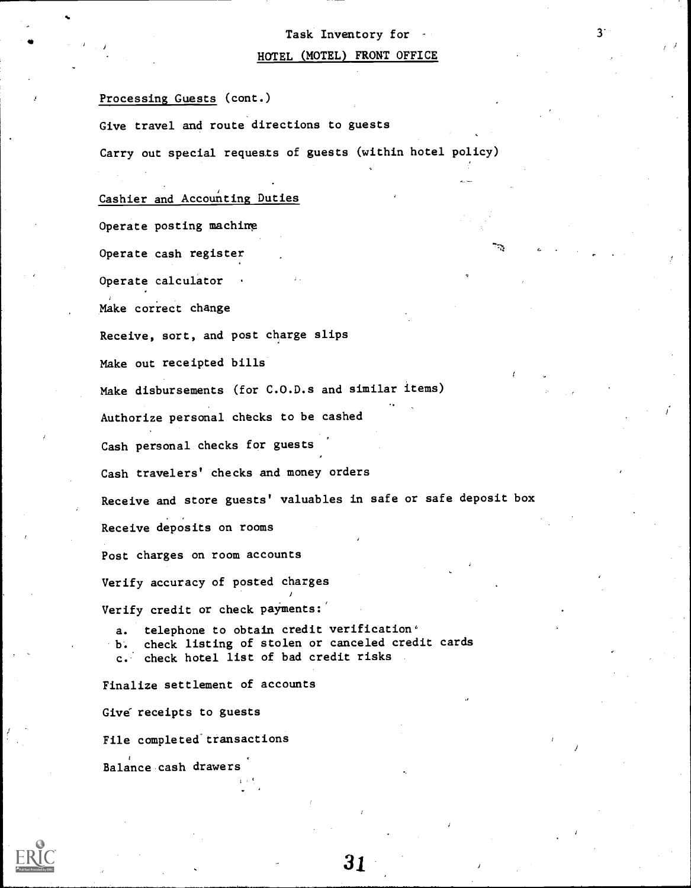# Task Inventory for 3. HOTEL (MOTEL) FRONT OFFICE

'k:

Processing Guests (cont.)

Give travel and route directions to guests

Carry out special requests of guests (within hotel policy)

## Cashier and Accounting Duties

Operate posting machine

Operate cash register

Operate calculator

Make correct change

Receive, sort, and post charge slips

Make out receipted bills

Make disbursements (for C.O.D.s and similar items)

Authorize personal checks to be cashed

Cash personal checks for guests

Cash travelers' checks and money orders

Receive and store guests' valuables in safe or safe deposit box

Receive deposits on rooms

Post charges on room accounts

Verify accuracy of posted charges

Verify credit or check payments:

a. telephone to obtain credit verification<sup>6</sup> b. check listing of stolen or canceled credit cards c.\* check hotel list of bad credit risks

)

Finalize settlement of accounts

Give receipts to guests

File completed transactions

Balance,cash drawers

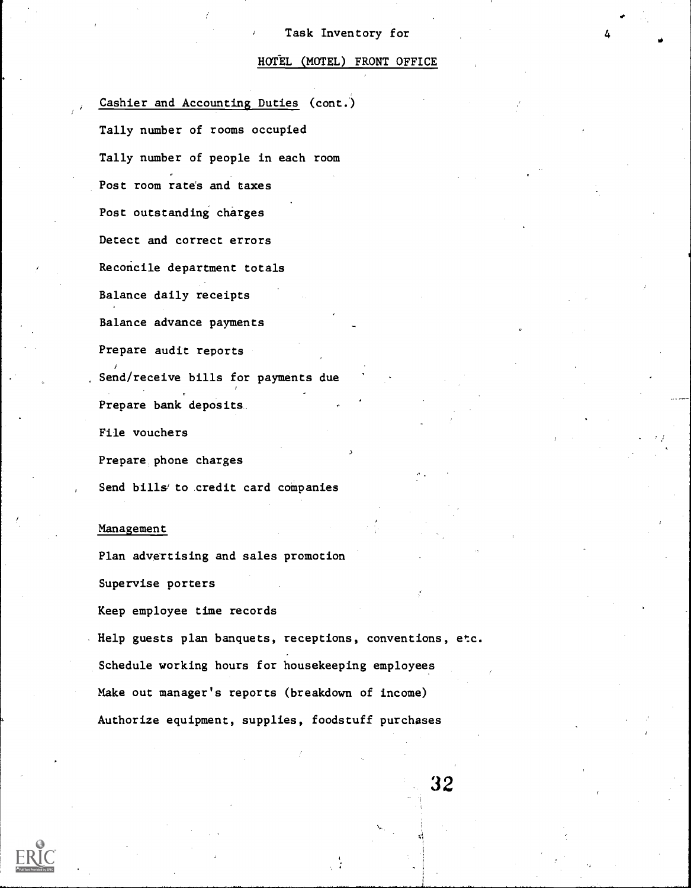## HOTEL (MOTEL) FRONT OFFICE

Cashier and Accounting Duties (cont.) Tally number of rooms occupied Tally number of people in each room Post room rate's and taxes Post outstanding charges Detect and correct errors Reconcile department totals Balance daily receipts Balance advance payments Prepare audit reports Send/receive bills for payments due Prepare bank deposits File vouchers Prepare phone charges Send bills to credit card companies

## Management

Plan advertising and sales promotion

Supervise porters

Keep employee time records

Help guests plan banquets, receptions, conventions, etc. Schedule working hours for housekeeping employees Make out manager's reports (breakdown of income) Authorize equipment, supplies, foodstuff purchases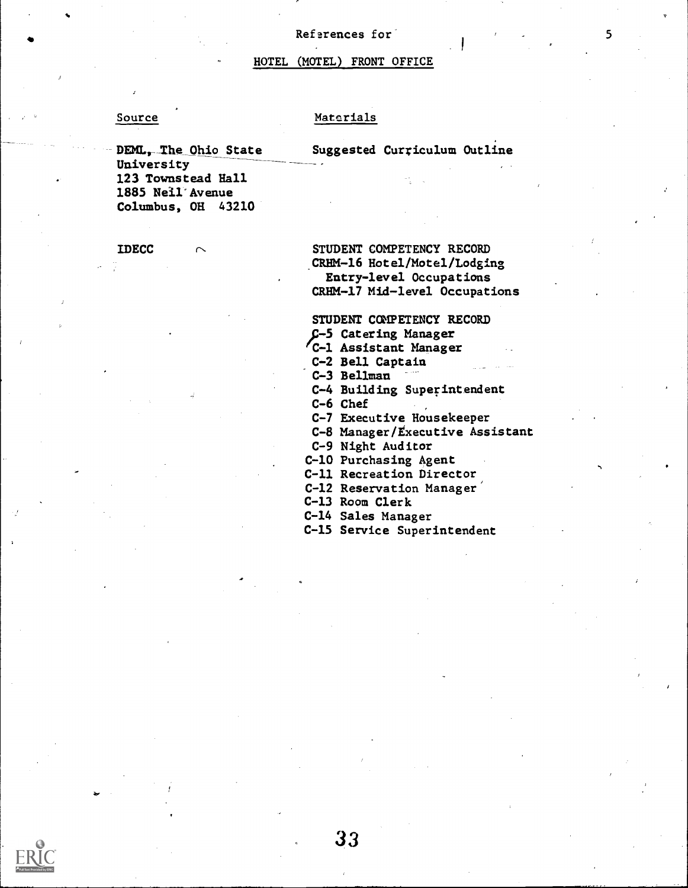#### References for

## HOTEL (MOTEL) FRONT OFFICE

## Source Materials

DEML, The Ohio State University 123 Townstead Hall 1885 Nell'Avenue Columbus, OH 43210

IDECC  $\sim$  STUDENT COMPETENCY RECORD .CRHM-16 Hotel/Motel/Lodging Entry-level Occupations CRHM-17 Mid-level Occupations

Suggested Curriculum Outline

STUDENT COMPETENCY RECORD

;-5 Catering Manager

fC-1 Assistant Manager

C-2 Bell Captain

C-3 Bellman

C-4 Building Superintendent

C-6 Chef

C-7 Executive Housekeeper

C-8 Manager/Executive Assistant

C-9 Night Auditor

C-10 Purchasing Agent

C-11 Recreation Director

C-12 Reservation Manager'

C-13 Room Clerk

33

C-14 Sales Manager

C-15 Service Superintendent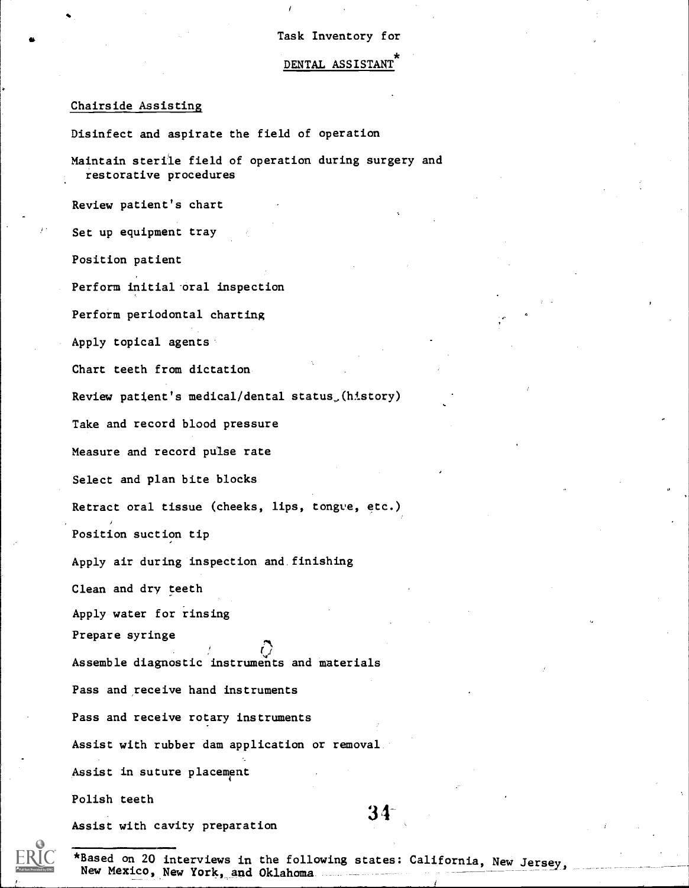DENTAL ASSISTANT

## Chairside Assisting

Disinfect and aspirate the field of operation

Maintain sterile field of operation during surgery and restorative procedures

Review patient's chart

Set up equipment tray

Position patient

Perform initial-oral inspection

Perform periodontal charting

Apply topical agents

Chart teeth from dictation

Review patient's medical/dental status,(history)

Take and record blood pressure

Measure and record pulse rate

Select and plan bite blocks

Retract oral tissue (cheeks, lips, tongue, etc.)

Position suction tip

Apply air during inspection and finishing

Clean and dry teeth

Apply water for rinsing

Prepare syringe

Assemble diagnostic instruments and materials

Pass and receive hand instruments

Pass and receive rotary instruments

Assist with rubber dam application or removal

Assist in suture placement

Polish teeth

Assist with cavity preparation

34



\*Based on 20 interviews in the following states: California, New Jersey,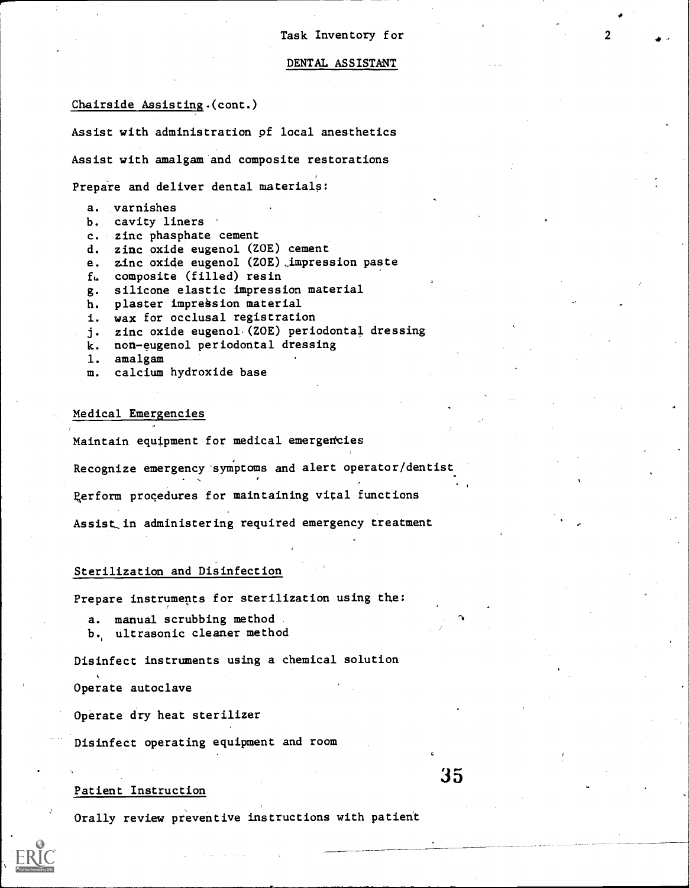#### DENTAL ASSISTANT

## Chairside Assisting.(cont.)

Assist with administration pf local anesthetics

Assist with amalgam-and composite restorations

Prepare and deliver dental materials:

- a. varnishes
- b. cavity liners
- c. zinc phasphate cement
- d. zinc oxide eugenol (ZOE) cement
- e. zinc oxide eugenoI (ZOE) \_impression paste
- ft. composite (filled) resin
- g. silicone elastic impression material
- h. plaster impression material
- i. wax for occlusal registration
- j. zinc oxide eugenol.(Z0E) periodontal dressing
- k. non-eugenol periodontal dressing
- 1. amalgam
- m. calcium hydroxide base

## Medical Emergencies

Maintain equipment for medical emergencies

Recognize emergency 'symptoms and alert operator/dentist

Rerform procedures for maintaining vital functions

Assist in administering required emergency treatment

## Sterilization and Disinfection

Prepare instruments for sterilization using the:

- a. manual scrubbing method
- b., ultrasonic cleaner method

Disinfect instruments using a chemical solution

Operate autoclave

Operate dry heat sterilizer

Disinfect operating equipment and room

#### Patient Instruction

Orally review preventive instructions with patient

particularly and the control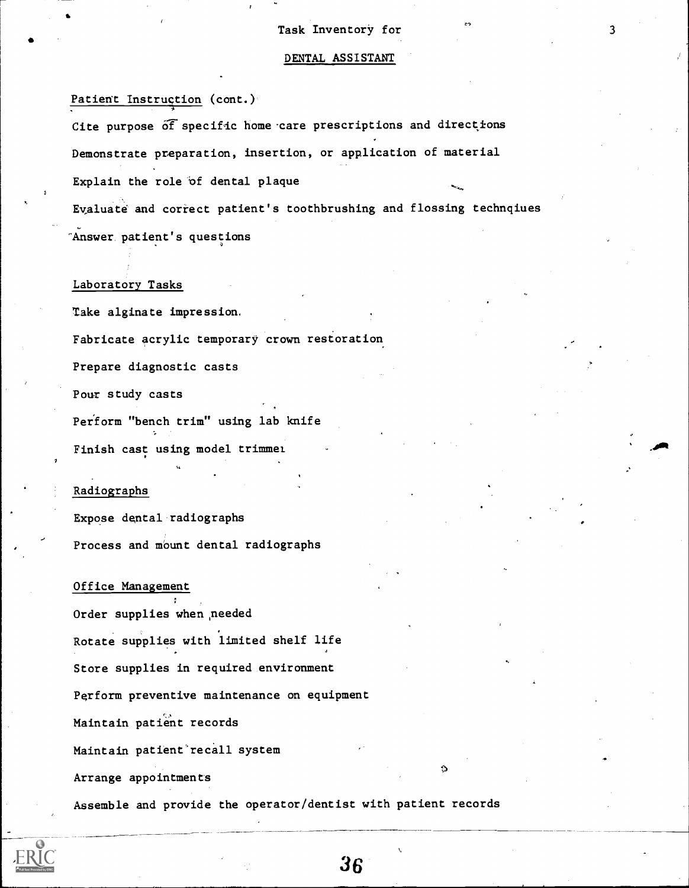#### DENTAL ASSISTANT

Patient Instruction (cont.)

Cite purpose of specific home care prescriptions and directions Demonstrate preparation, insertion, or application of material Explain the role of dental plaque

Evaluate and correct patient's toothbrushing and flossing technqiues

"Answer patient's questions

#### Laboratory Tasks

Take alginate impression.

Fabricate acrylic temporary crown restoration

Prepare diagnostic casts

Pour study casts

Per'form "bench trim" using lab knife Finish cast using model trimmel

## Radiographs

Expose dental'radiographs Process and mount dental radiographs

Office Management Order supplies when needed Rotate supplies with limited shelf life Store supplies in required environment Perform preventive maintenance on equipment Maintain patient records Maintain patient recall system Arrange appointments

Assemble and provide the operator/dentist with patient records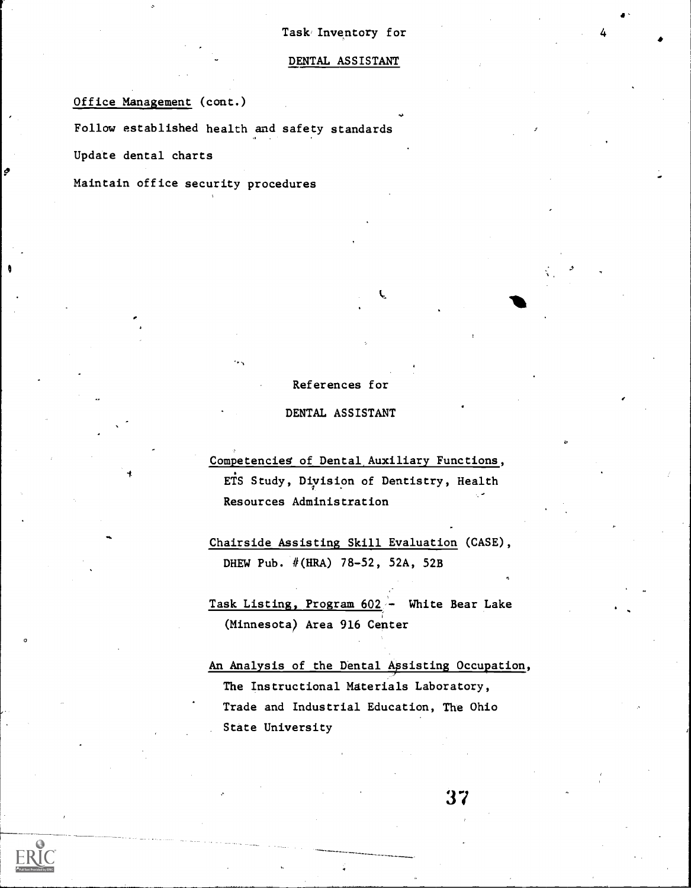## DENTAL ASSISTANT

Office Management (cont.)

Follow established health and safety standards

Update dental charts

Maintain office security procedures

## References for

c.

## DENTAL ASSISTANT

Competencieg of Dental,Auxiliary Functions, ETS Study, Diyision of Dentistry, Health Resources Administration

Chairside Assisting Skill Evaluation (CASE), DHEW Pub. #(HRA) 78-52, 52A, 52B

Task Listing, Program 602 - White Bear Lake (Minnesota) Area 916 Center

An Analysis of the Dental Apsisting Occupation, The Instructional Materials Laboratory, Trade and Industrial Education, The Ohio State University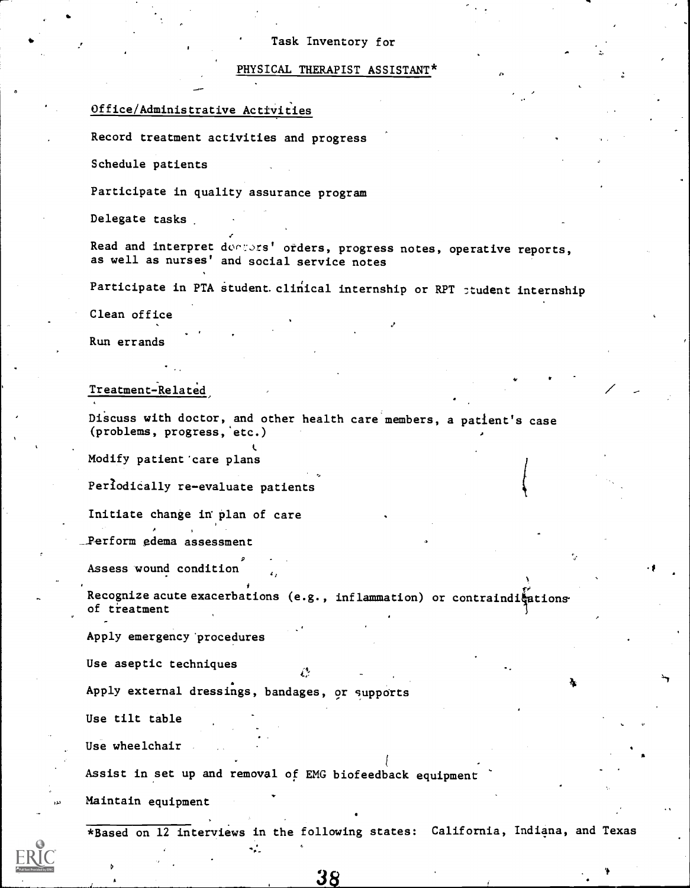## PHYSICAL THERAPIST ASSISTANT\*

## Office/Administrative Activities

Record treatment activities and progress

Schedule patients

Participate in quality assurance program

Delegate tasks

Read and interpret docsers' orders, progress notes, operative reports, as well as nurses' and social service notes

Participate in PTA student clinical internship or RPT ptudent internship

Clean office

Run errands

Treatment-Related

Discuss with doctor, and other health care members, a patient's case (problems, progress,'etc.)

Modify patient'care plans

Periodically re-evaluate patients

Initiate change in plan of care

Perform edema assessment

Assess wound condition

Recognize acute exacerbations (e.g., inflammation) or contraindi $\frac{k}{2}$ ations of treatment

75

Apply emergency'procedures

Use aseptic techniques

Apply external dressings, bandages, or supports

Use tilt table

Use wheelchair

Assist in set up and removal of EMG biofeedback equipment

Maintain equipment

\*Based on 12 interviews in the following states: California, Indiana, and Texas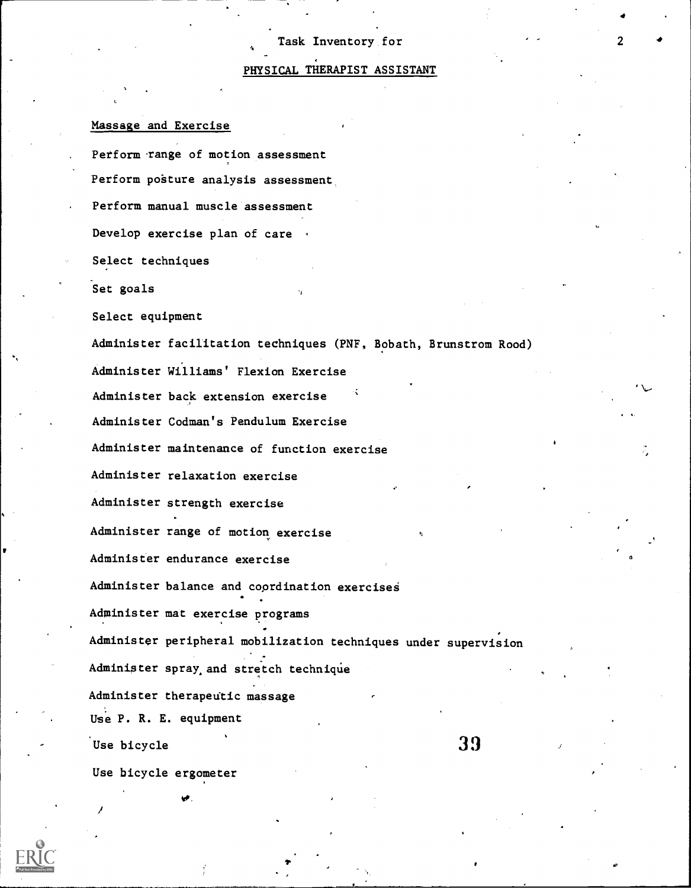## PHYSICAL THERAPIST ASSISTANT

## Massage and Exercise

Perform range of motion assessment Perform posture analysis assessment Perform manual muscle assessment Develop exercise plan of care  $\cdot$ Select techniques Set goals Select equipment Administer facilitation techniques (PNF, Bobath, Brunstrom Rood) Administer Williams' Flexion Exercise Administer back extension exercise Administer Codman's Pendulum Exercise Administer maintenance of function exercise Administer relaxation exercise Administer strength exercise Administer range of motion exercise Administer endurance exercise Administer balance and coordination exercises Administer mat exercise programs Administer peripheral mobilization techniques under supervision Administer spray,and stretch technique Administer therapeutic massage Use P. R. E. equipment Use bicycle Use bicycle ergometer v.<br>
x<sub>2</sub><br>
x<sub>2</sub><br>
x<sub>2</sub><br>
x<sub>2</sub><br>
x<sub>2</sub><br>
x<sub>2</sub><br>
x<sub>2</sub><br>
x<sub>2</sub><br>
x<sub>2</sub><br>
x<sub>2</sub><br>
x<sub>2</sub><br>
x<sub>2</sub><br>
x<sub>3</sub><br>
x<sub>3</sub><br>
x<sub>3</sub><br>
x<sub>3</sub><br>
x<sub>3</sub><br>
x<sub>4</sub><br>
x<sub>4</sub><br>
x<sub>4</sub><br>
x<sub>4</sub><br>
x<sub>4</sub><br>
x<sub>4</sub><br>
x<sub>4</sub><br>
x<sub>4</sub><br>
x<sub>4</sub><br>
x<sub>4</sub><br>
x<sub>4</sub><br>
x<sub>4</sub><br><br>x<br>
x<br>
x<br>
x<br>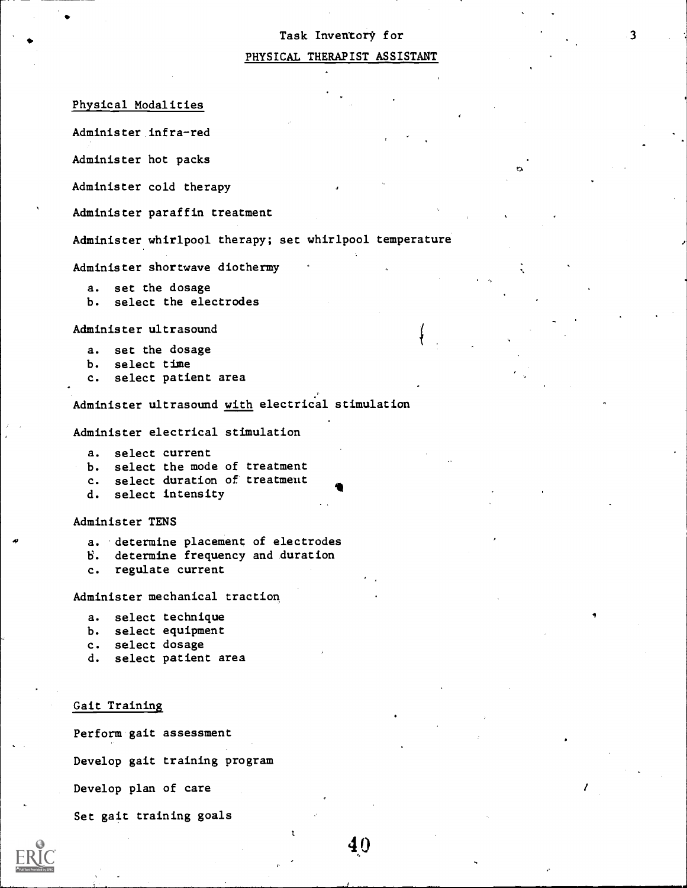#### PHYSICAL THERAPIST ASSISTANT

Physical Modalities

Administer infra-red

Administer hot packs

Administer cold therapy

Administer paraffin treatment

Administer whirlpool therapy; set whirlpool temperature

Administer shortwave diothermy

- a. set the dosage
- b. select the electrodes

Administer ultrasound

- a. set the dosage
- b. select time
- c. select patient area

Administer ultrasound with electrical stimulation

Administer electrical stimulation

- a. select current
- b. select the mode of treatment
- c. select duration of treatmeut
- d. select intensity

Administer TENS

- a. 'determine placement of electrodes
- V. determine frequency and duration
- c. regulate current

Administer mechanical traction

- a. select technique
- b. select equipment
- c. select dosage
- d. select patient area

#### Gait Training

Perform gait assessment

Develop gait training program

Develop plan of care

Set gait training goals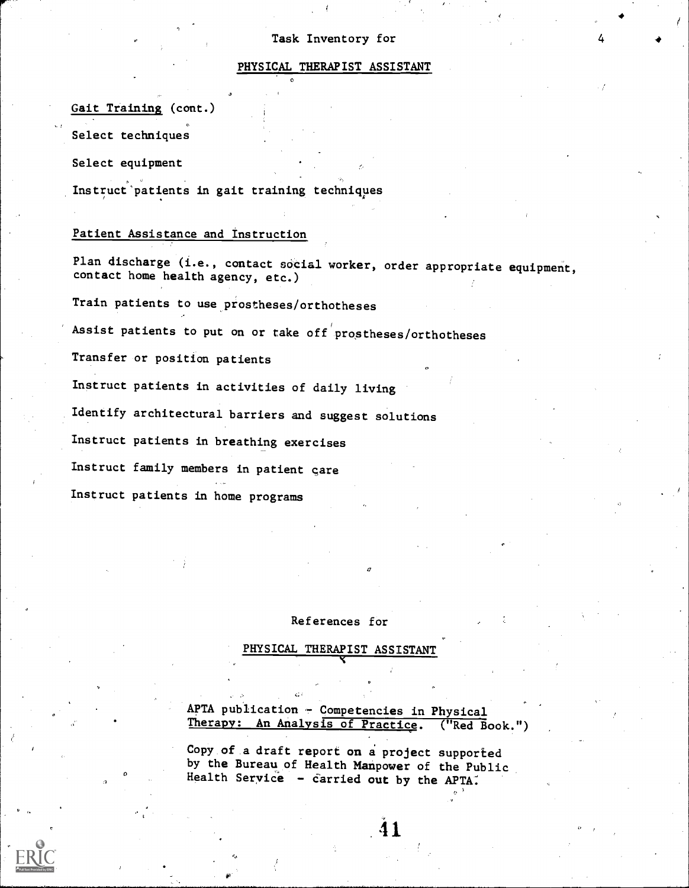## PHYSICAL THERAPIST ASSISTANT

## Gait Training (cont.)

Select techniques

Select equipment

Instruct'patients in gait training techniques

## Patient Assistance and instruction

Plan discharge (i.e., contact social worker, order appropriate equipment, contact home health agency, etc.)

Train patients to use prostheses/orthotheses

Assist patients to put on or take off prostheses/orthotheses

Transfer or position patients

Instruct patients in activities of daily living

Identify architectural barriers and suggest solutions

Instruct patients in breathing exercises

Instruct family members in patient gare

Instruct patients in home programs

## References for

4'

## PHYSICAL THERAPIST ASSISTANT

APTA publication - Competencies in Physical Therapy: An Analysis of Practice. ("Red Book.")

Copy of a draft report on a project supported by the Bureau of Health Manpower of the Public Health Service - carried out by the APTA.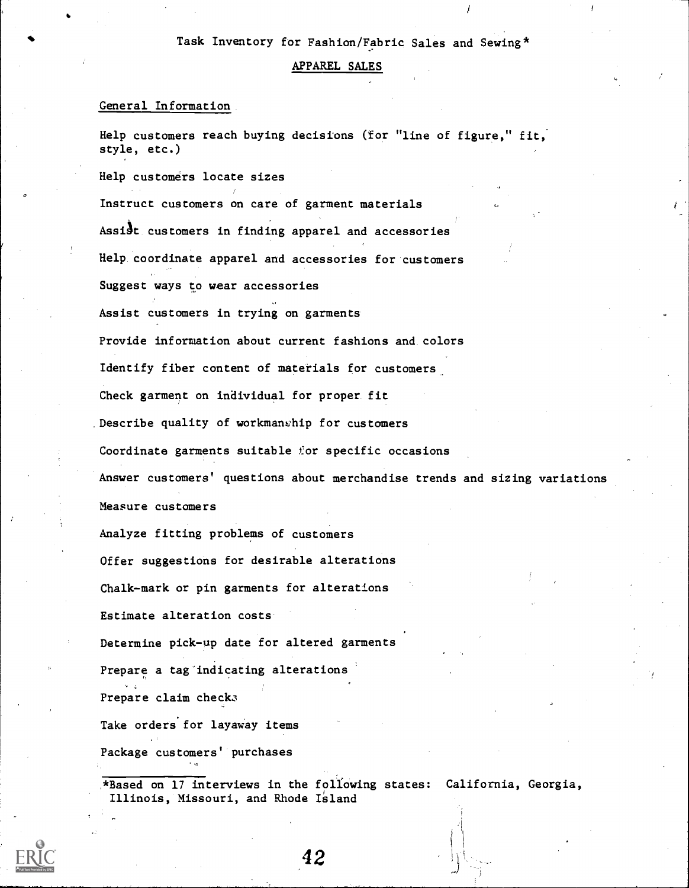## Task Inventory for Fashion/Fabric Sales and Sewing\*

#### APPAREL SALES

## General Information.

Help customers reach buying decisions (for "line of figure," fit, style, etc.)

Help customers locate sizes

Instruct customers on care of garment materials

Assist customers in finding apparel and accessories

Help coordinate apparel and accessories for customers

Suggest ways to wear accessories

Assist customers in trying on garments

Provide information about current fashions and. colors

 $\mathbf{Q} = \mathbf{Q} \times \mathbf{Q}$ 

Identify fiber content of materials for customers

Check garment on individual for proper. fit

Describe quality of workmanship for customers

Coordinate garments suitable for specific occasions

Answer customers' questions about merchandise trends and sizing variations

Measure customers

Analyze fitting problems of customers

Offer suggestions for desirable alterations

Chalk-mark or pin garments for alterations

Estimate alteration costs.

Determine pick-up date for altered garments

Prepare a tag'indicating alterations

Prepare claim checks

Take orders for layaway items

Package customers'. purchases

\*Based on 17 interviews in the following states: California, Georgia, Illinois, Missouri, and Rhode Island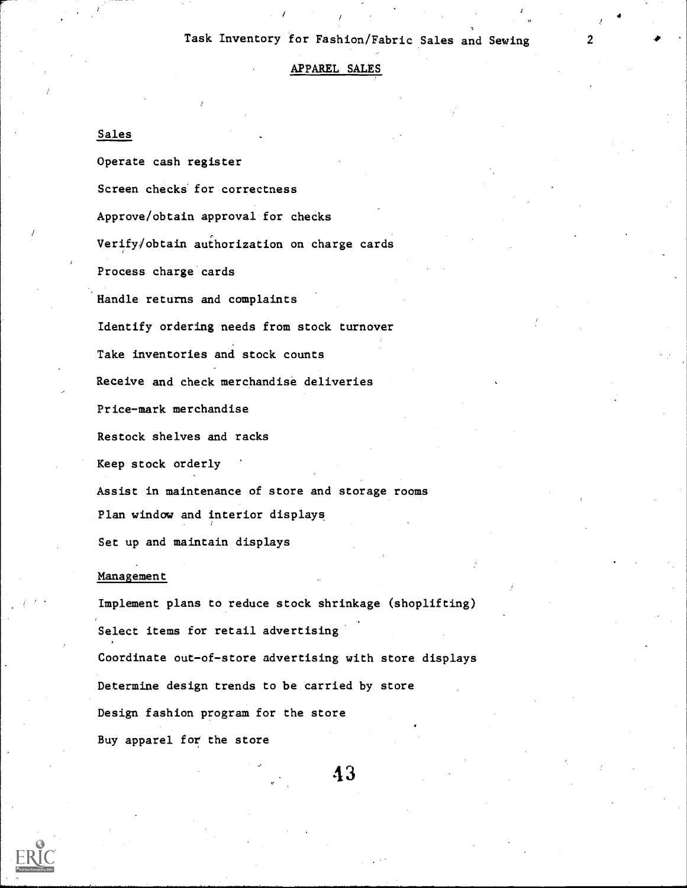## Task Inventory for Fashion/Fabric Sales and Sewing

4

 $\epsilon$ 

#### APPAREL SALES

## Sales

Operate cash register Screen checks for correctness Approve/obtain approval for checks Verify/obtain authorization on charge cards Process charge cards Handle returns and complaints Identify ordering needs from stock turnover Take inventories and stock counts Receive and check merchandise deliveries Price-mark merchandise Restock shelves and racks Keep stock orderly Assist in maintenance of store and storage rooms Plan window and interior displays Set up and maintain displays

#### Management

Implement plans to reduce stock shrinkage (shoplifting) Select items for retail advertising Coordinate out-of-store advertising with store displays Determine design trends to be carried by store Design fashion program for the store Buy apparel for the store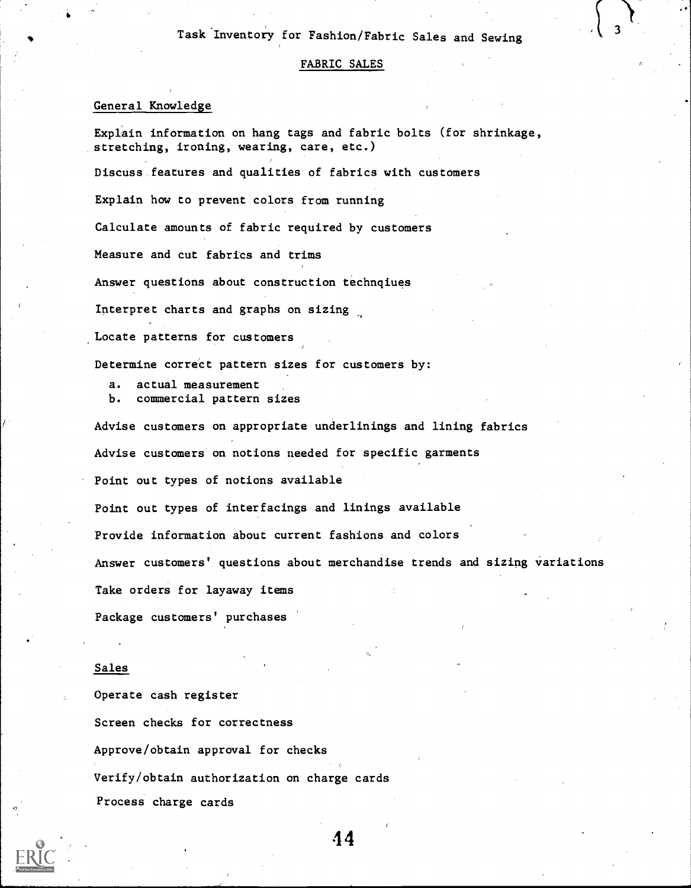## Task Inventory for Fashion/Fabric Sales and Sewing

#### FABRIC SALES

## General Knowledge

Explain information on hang tags and fabric bolts (for shrinkage, stretching, ironing, wearing, care, etc.) Discuss features and qualities of fabrics with customers Explain how to prevent colors from running Calculate amounts of fabric required by customers Measure and cut fabrics and trims Answer questions about construction technqiues Interpret charts and graphs on sizing .Locate patterns for customers Determine correct pattern sizes for customers by: a. actual measurement b. commercial pattern sizes Advise customers on appropriate underlinings and lining fabrics Advise customers on notions needed for specific garments Point out types of notions available Point out types of interfacings and linings available Provide information about current fashions and colors Answer customers' questions about merchandise trends and sizing variations Take orders for layaway items

Package customers' purchases

#### Sales

Operate cash register Screen checks for correctness Approve/obtain approval for checks Verify/obtain authorization on charge cards Process charge cards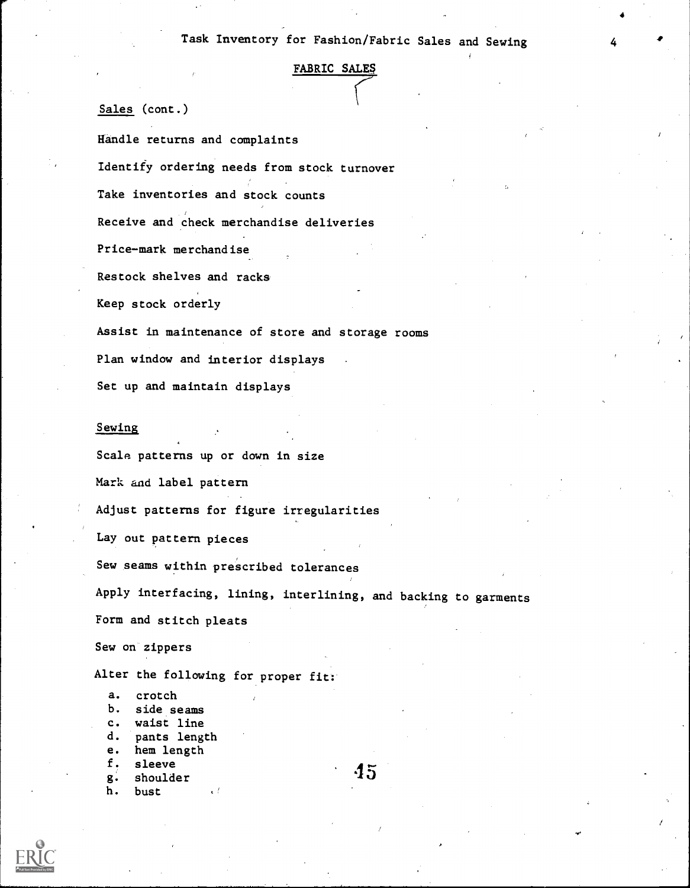# FABRIC SALES

Sales (cont.)

Handle returns and complaints

Identify ordering needs from stock turnover

Take inventories and stock counts

Receive and check merchandise deliveries

Price-mark merchandise

Restock shelves and racks

Keep stock orderly

Assist in maintenance of store and storage rooms

Plan window and interior displays

Set up and maintain displays

#### Sewing

Scale patterns up or down in size Mark and label pattern Adjust patterns for figure irregularities Lay out pattern pieces Sew seams within prescribed tolerances Apply interfacing, lining, interlining, and backing to garments Form and stitch pleats Sew on zippers

Alter the following for proper fit:

a. crotch b. side seams c. waist line d. pants length e. hem length f. sleeve g. shoulder h. bust

45

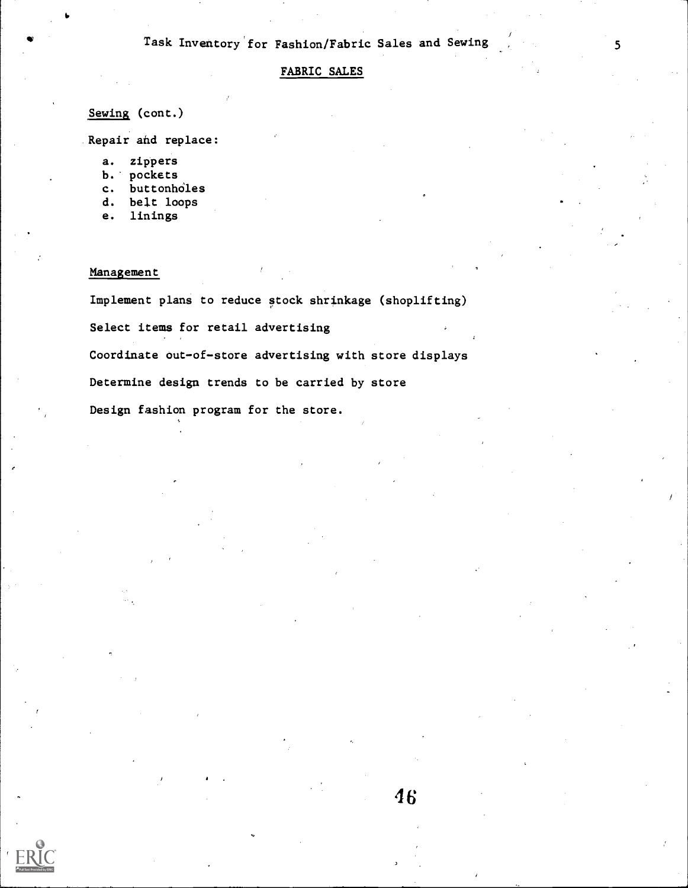## FABRIC SALES

## Sewing (cont.)

Repair and replace:

- a. zippers
- b. pockets
- c. buttonholes
- d. belt loops
- e. linings

## Management

Implement plans to reduce stock shrinkage (shoplifting)

Select items for retail advertising

Coordinate out-of-store advertising with store displays

Determine design trends to be carried by store

Design fashion program for the store.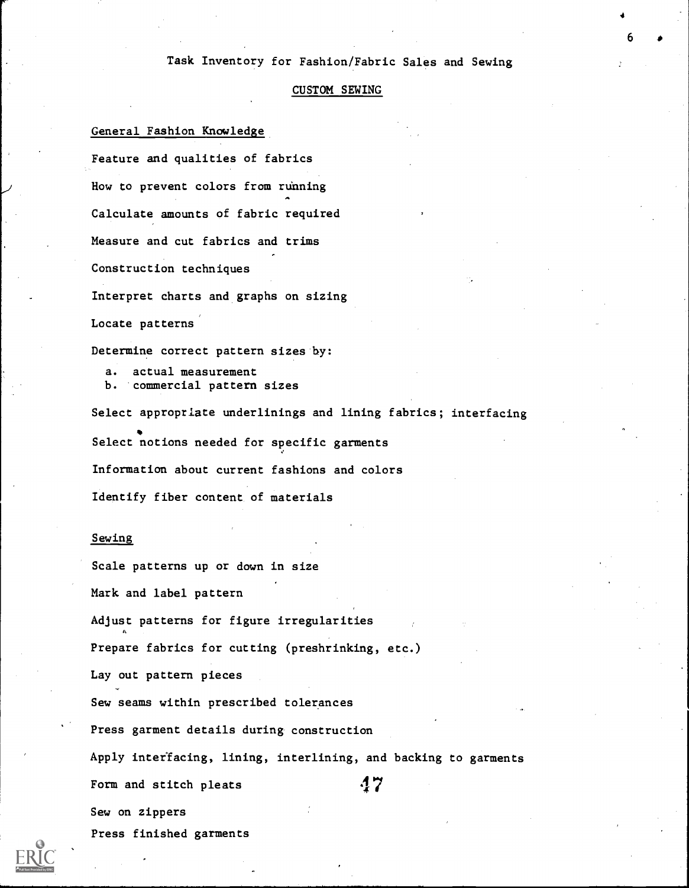## Task Inventory for Fashion/Fabric Sales and Sewing

4

## CUSTOM SEWING

## General Fashion Knowledge

Feature and qualities of fabrics How to prevent colors from running Calculate amounts of fabric required Measure and cut fabrics and trims Construction techniques Interpret charts and graphs on sizing

Locate patterns

Determine correct pattern sizes by:

a. actual measurement b. commercial pattern sizes

Select appropriate underlinings and lining fabrics; interfacing \* Select notions needed for specific garments Information about current fashions and colors Identify fiber content of materials

#### Sewing

Scale patterns up or down in size

Mark and label pattern

Adjust patterns for figure irregularities

Prepare fabrics for cutting (preshrinking, etc.)

Lay out pattern pieces

Sew seams within prescribed tolerances

Press garment details during construction

Apply interfacing, lining, interlining, and backing to garments

47

Form and stitch pleats

Sew on zippers

Press finished garments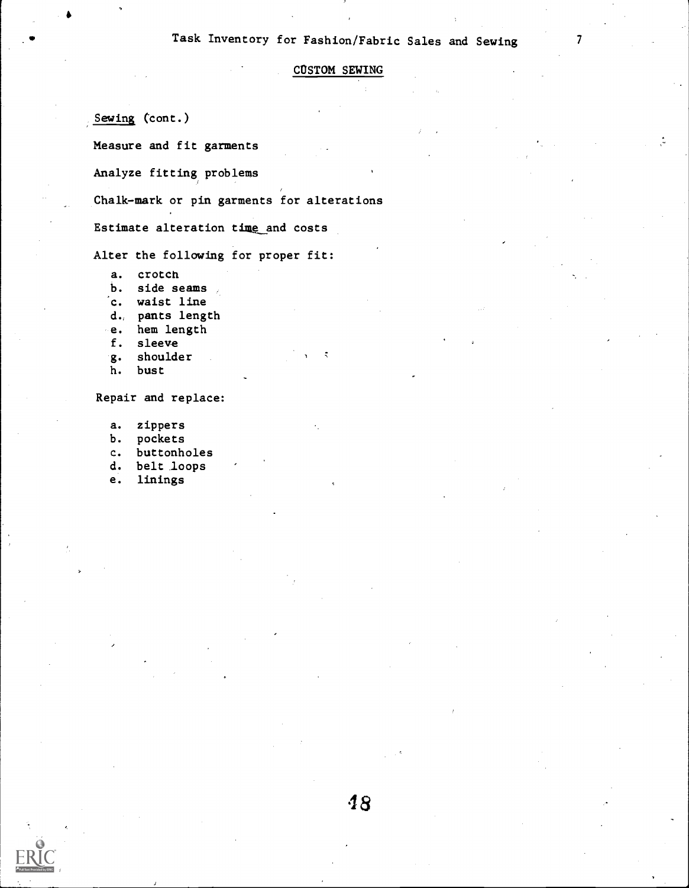## Task Inventory for Fashion/Fabric Sales and Sewing <sup>7</sup>

CUSTOM SEWING

Sewing (cont.)

Measure and fit garments

Analyze fitting problems

Chalk-mark or pin garments for alterations

Estimate alteration time and costs

Alter the following for proper fit:

- a. crotch
- b. side seams
- c. waist line
- d, pants length
- e. hem length
- f. sleeve
- g. shoulder
- h. bust

Repair and replace:

- a. zippers
- b. pockets
- c. buttonholes
- d. belt loops
- e. linings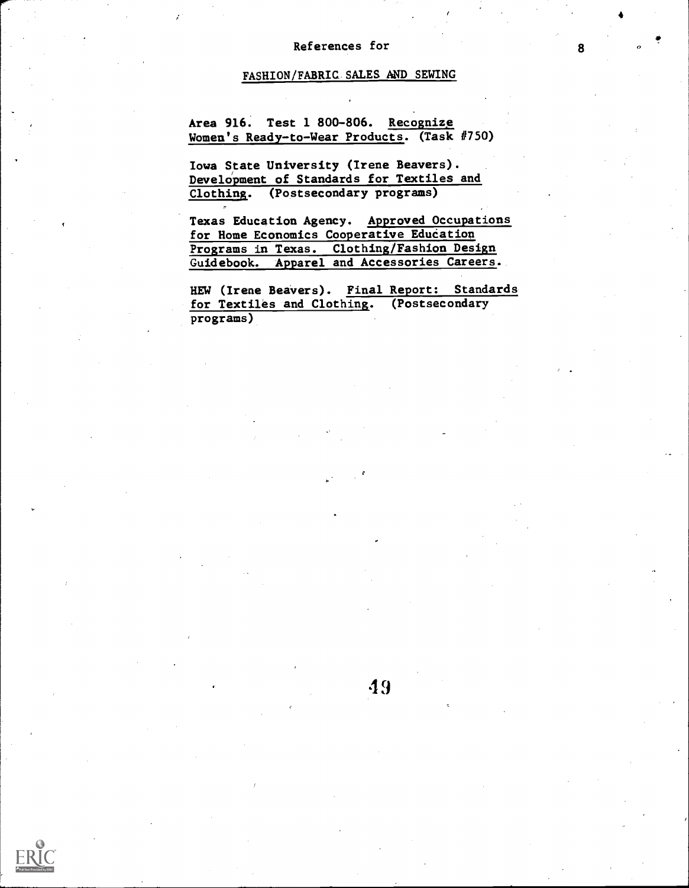## References for

## FASHION/FABRIC.SALES AND SEWING

Area 916. Test 1 800-806. Recognize Women's Ready-to-Wear Products. (Task #750)

Iowa State University (Irene Beavers). Development of Standards for Textiles and Clothing. (Postsecondary programs)

-

Texas Education Agency. Approved Occupations for Home Economics Cooperative Education Programs in Texas. Clothing/Fashion Design Guidebook. APparel and Accessories Careers.

HEW (Irene BeaVers). Final Report: Standards for Textiles and Clothing. (Postsecondary programs)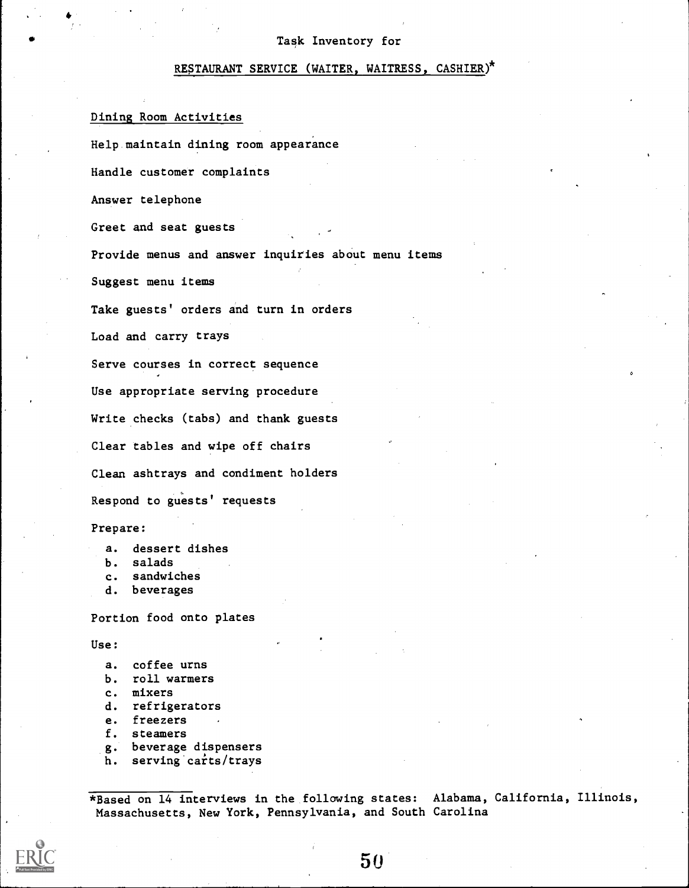## RESTAURANT SERVICE (WAITER, WAITRESS, CASHIER)\*

## Dining Room Activities

Help maintain dining room appearance Handle customer complaints Answer telephone Greet and seat guests Provide menus and answer inquiries about menu items Suggest menu items Take guests' orders and turn in orders Load and carry trays Serve courses in correct sequence Use appropriate serving procedure Write checks (tabs) and thank guests Clear tables and wipe off chairs Clean ashtrays and condiment holders Respond to guests' requests

## Prepare:

- b. salads
- c. sandwiches
- d. beverages

Portion food onto plates

Use:

- a. coffee urns
- b. roll warmers
- c. mixers
- d. refrigerators
- e. freezers
- f. steamers
- g. beverage dispensers
- h. serving carts/trays

\*Based on 14 interviews in the following states: Alabama, California, Illinois, Massachusetts, New York, Pennsylvania, and South Carolina

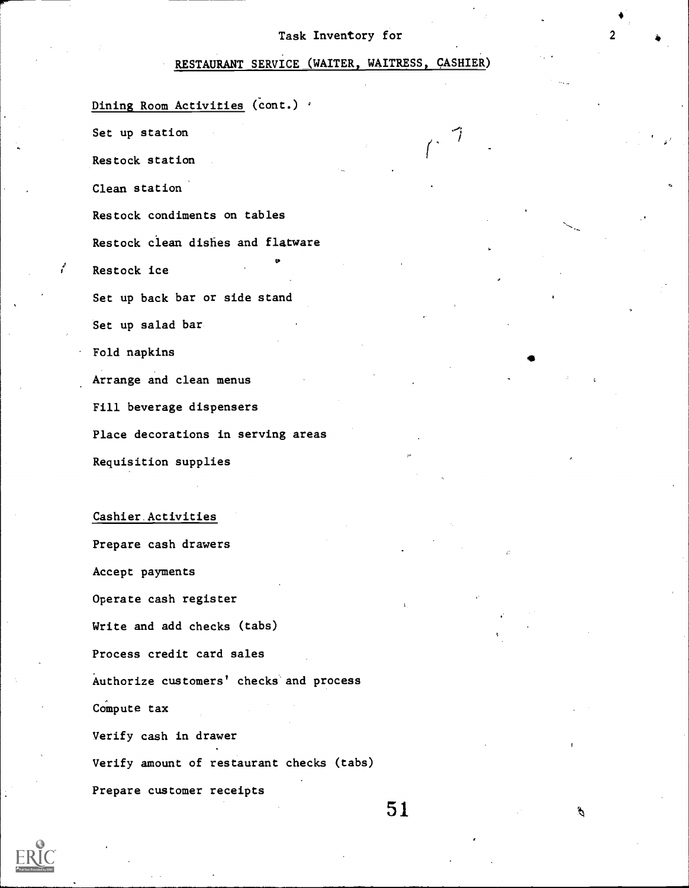## RESTAURANT SERVICE (WAITER, WAITRESS, CASHIER)

Dining Room Activities (cont.) '

Set up station

Restock station

Clean station

Restock condiments on tables

Restock clean dishes and flatware

Restock ice

Set up back bar or side stand

Set up salad bar

Fold napkins

Arrange and clean menus

Fill beverage dispensers

Place decorations in serving areas

Requisition supplies

## Cashier.Activities

Prepare cash drawers Accept payments Operate cash register Write and add checks (tabs) Process credit card sales Authorize customers' checks'and process Compute tax Verify cash in drawer Verify amount of restaurant checks (tabs) Prepare customer receipts

51

g.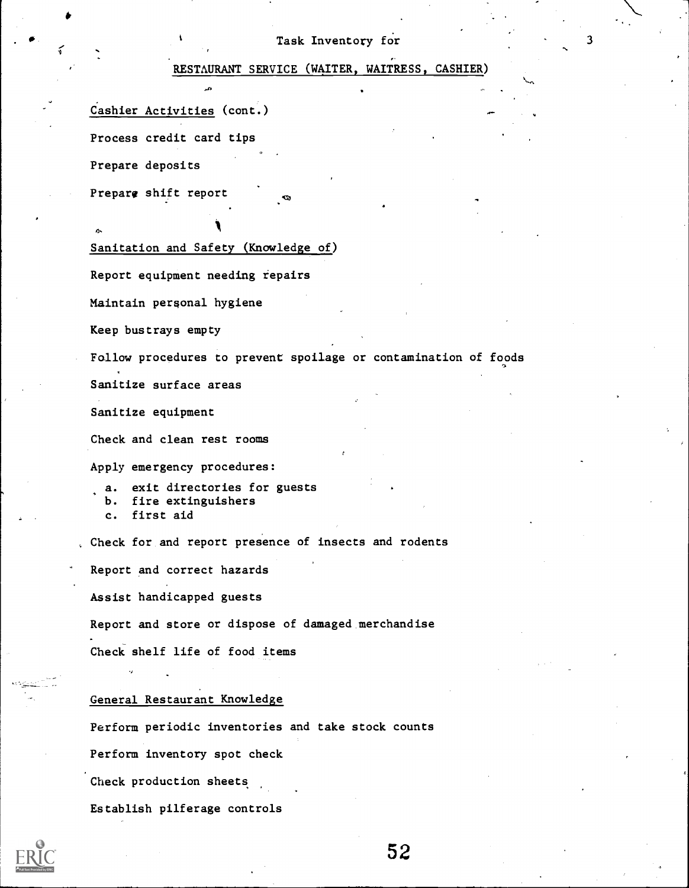S.

,

## RESTAURANT SERVICE (WAITER, WAITRESS, CASHIER)

Cashier Activities (cont.)

Process credit card tips

Prepare deposits

Prepare shift report

Sanitation and Safety (Knowledge of)

Report equipment needing repairs

Maintain personal hygiene

Keep bustrays empty

Follow procedures to prevent spoilage or contamination of foods

Sanitize surface areas

Sanitize equipment

Check and clean rest rooms

Apply emergency procedures:

a. exit directories for guests b. fire extinguishers c. first aid

, Check for and report presence of insects and rodents

Report and correct hazards

Assist handicapped guests

Report and store or dispose of damaged merchandise

Check shelf life of food items

## General Restaurant Knowledge

Perform periodic inventories and take stock counts

Perform inventory spot check

Check production sheets

Establish pilferage controls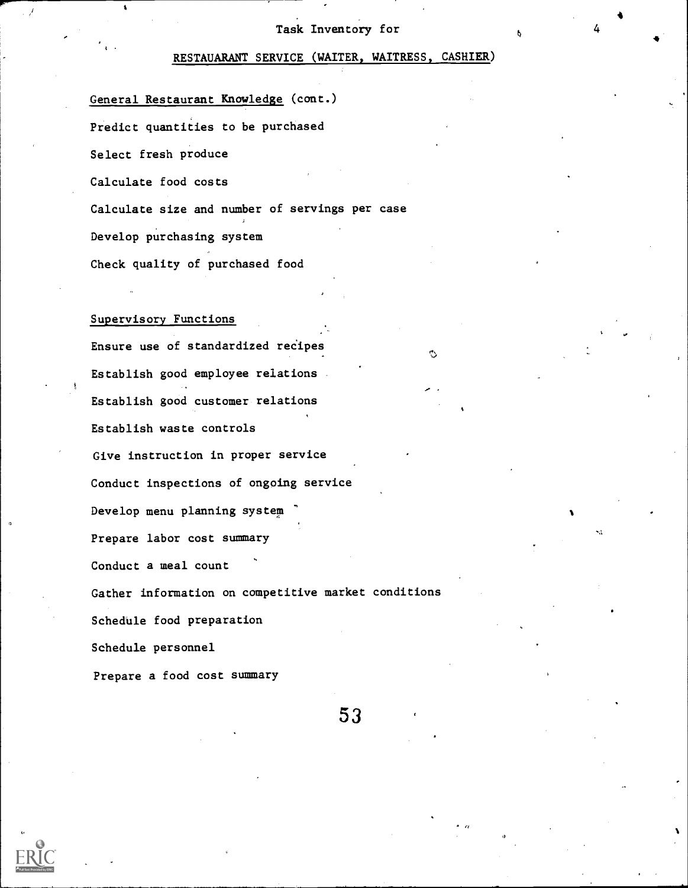4

## RESTAUARANT SERVICE (WAITER, WAITRESS, CASHIER)

General Restaurant Knowledge (cont.) Predict quantities to be purchased Select fresh produce Calculate food costs Calculate size and number of servings per case Develop purchasing system Check quality of purchased food

## Supervisory Functions

Ensure use of standardized recipes Establish good employee relations Establish good customer relations Establish waste controls Give instruction in proper service Conduct inspections of ongoing service Develop menu planning system Prepare labor cost summary Conduct a meal count Gather information on competitive market conditions Schedule food preparation Schedule personnel Prepare a food cost summary

53

^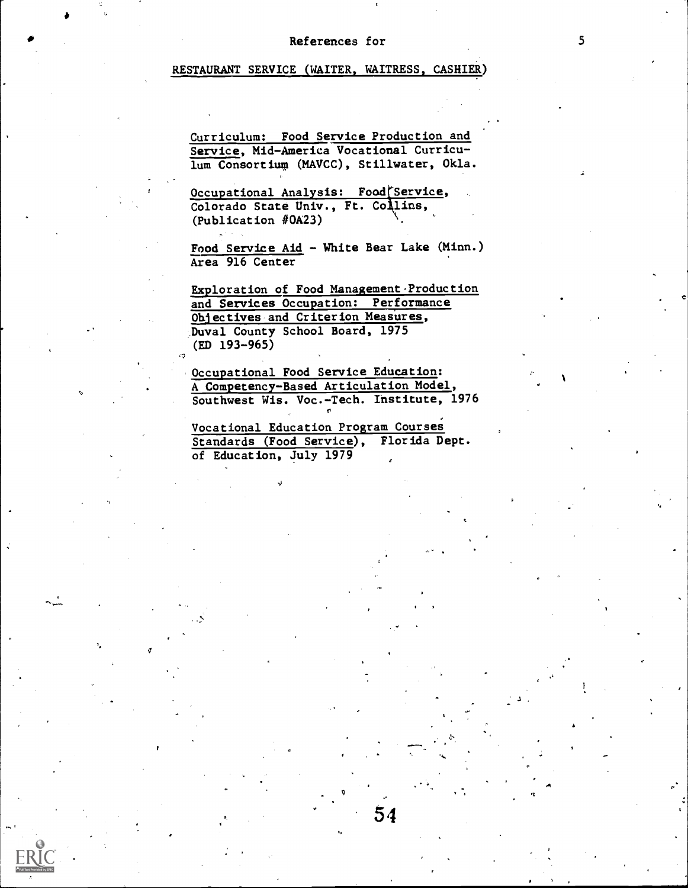## References for 5

## RESTAURANT SERVICE (WAITER, WAITRESS, CASHIER)

Curriculum: Food Service Production and Service, Mid-America Vocational Curriculum Consortiup (MAVCC), Stillwater, Okla.

Occupational Analysis: Food Service, Colorado State Univ., Ft. Collins, (Publication #0A23)

Food Service Aid - White Bear Lake (Minn.) Area 916 Center

Exploration of Food Management.Production and Services Occupation: Performance Objectives and Criterion Measures, Duval County School Board, 1975 (ED 193-965)

Occupational Food Service Education: A Competency-Based Articulation Model, Southwest Wis. Voc.-Tech. Institute, 1976

Vocational Education Program Courses Standards (Food Service), Florida Dept. of Education, July 1979

,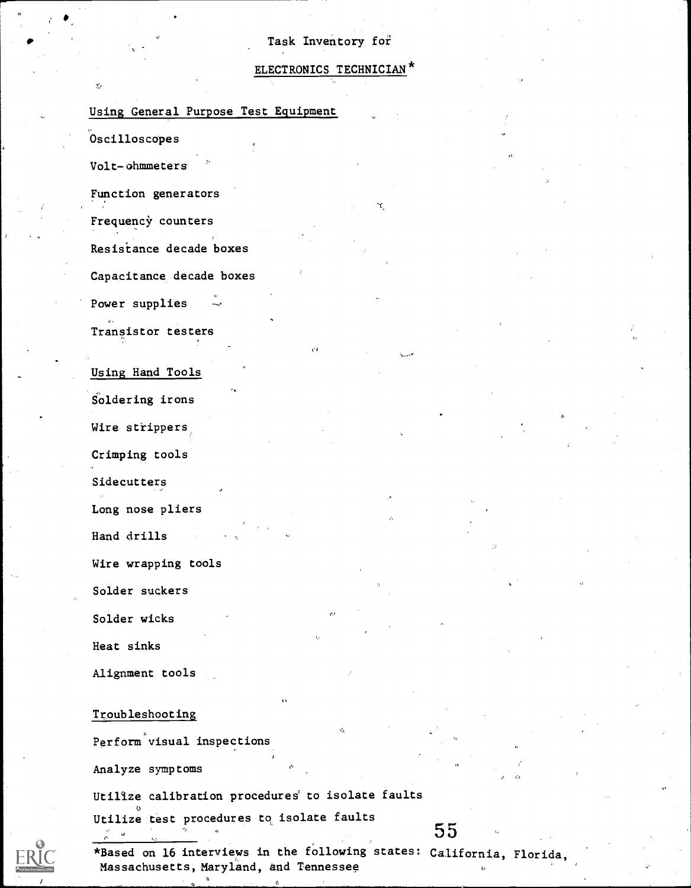## ELECTRONICS TECHNICIAN<sup>\*</sup>

f

## Using General Purpose Test Equipment

Oscilloscopes

Volt-ohmmeters

Function generators

Frequency counters

Resisiance decade boxes

Capacitance decade boxes

Power supplies

Transistor testers

Using Hand Tools

Soldering irons

Wire strippers

Crimping tools

Sidecutters

Long nose pliers

Hand drills

Wire wrapping tools

Solder suckers

Solder wicks

Heat sinks

Alignment tools

## Troubleshooting

Perform visual inspections

Analyze symptoms

Utilize calibration procedures to isolate faults

 $\overset{\circ}{\mathtt{Utilize}}$  test procedures to isolate faults

\*Based on 16 interviews in the following states: California, Florida,Massachusetts, Maryland, and Tennessee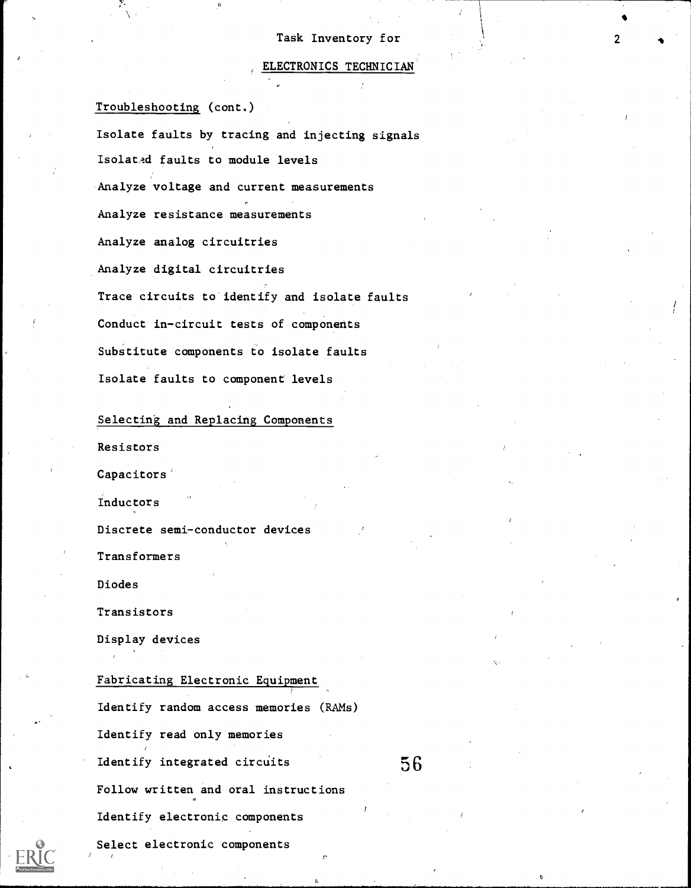#### ELECTRONICS TECHNICIAN

**C** Contract of the Contract of the Contract of the Contract of the Contract of the Contract of the Contract of the Contract of the Contract of the Contract of the Contract of the Contract of the Contract of the Contract o

Troubleshooting (cont.)

Isolate faults by tracing and injecting signals Isolated faults to module levels Analyze voltage and current measurements Analyze resistance measurements Analyze analog circuitries Analyze digital circuitries Trace circuits to identify and isolate faults Conduct in-circuit tests of components Substitute components to isolate faults Isolate faults to component levels

Selecting and Replacing Components

Resistors

Capacitors'

Inductors

Discrete semi-conductor devices

Transformers

Diodes

Transistors

Display devices

## Fabricating Electronic Equipment

Identify random access memories (RAMs) Identify read only memories Identify integrated circuits Follow written and oral instructions Identify electronic components Select electronic components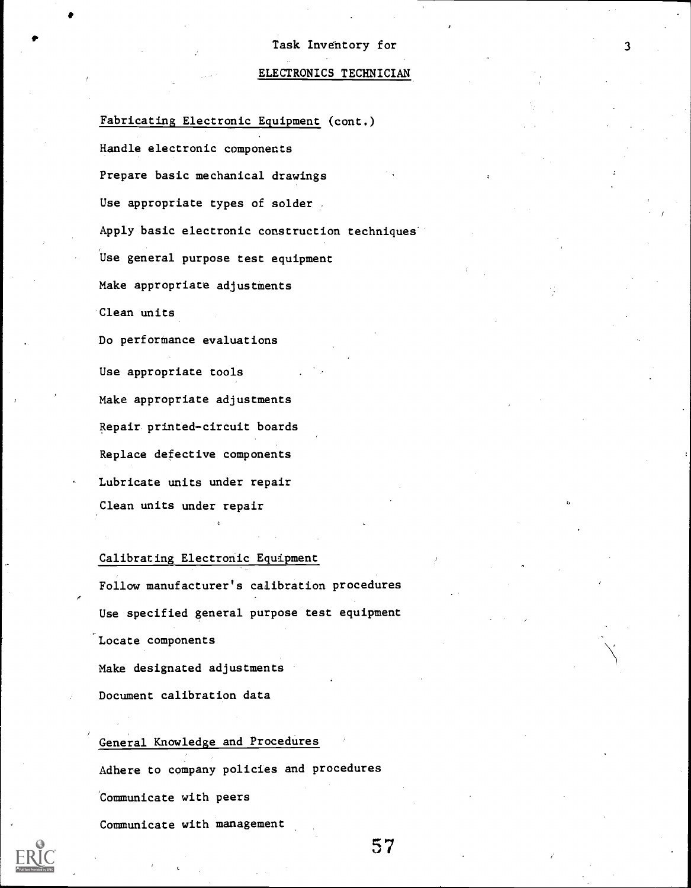## ELECTRONICS TECHNICIAN

Fabricating Electronic Equipment (cont.) Handle electronic components Prepare basic mechanical drawings Use appropriate types of solder. Apply basic electronic construction techniques Use general purpose test equipment Make appropriate adjustments Clean units Do performance evaluations Use appropriate tools Make appropriate adjustments Repair printed-circuit boards Replace defective components Lubricate units under repair Clean units under repair

## Calibrating Electronic Equipment

Follow manufacturer's calibration procedures Use specified general purpose test equipment Locate components

Make designated adjustments

Document calibration data

## General Knowledge and Procedures

Adhere to company policies and procedures

Communicate with peers

Communicate with management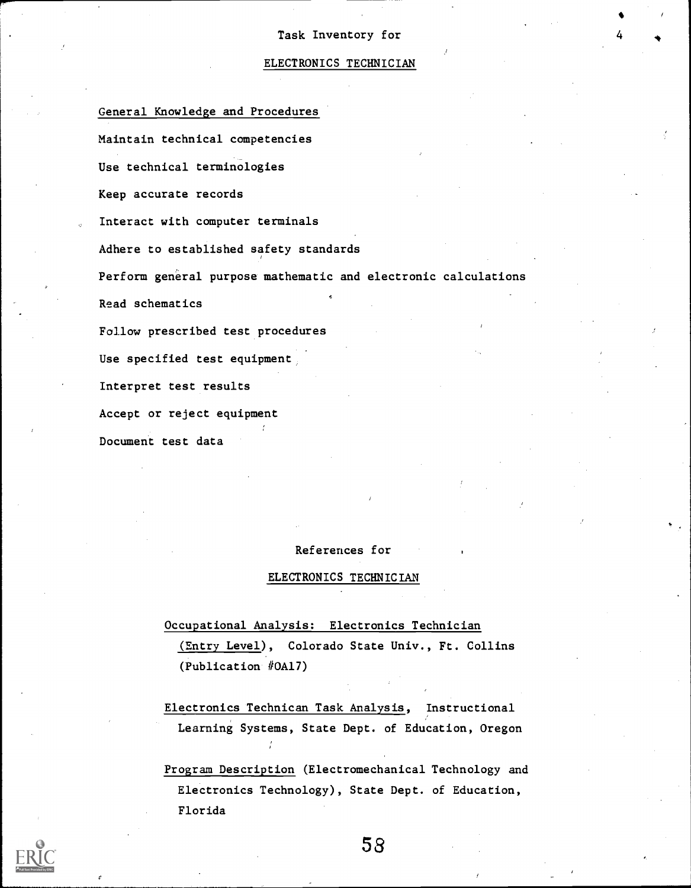## ELECTRONICS TECHNICIAN

General Knowledge and Procedures Maintain technical competencies Use technical terminologies Keep accurate records Interact with computer terminals Adhere to established safety standards Perform general purpose mathematic and electronic calculations Read schematics Follow prescribed test procedures Use specified test equipment Interpret test results Accept or reject equipment Document test data

## References for

#### ELECTRONICS TECHNICIAN

Occupational Analysis: Electronics Technician

(Entry Level), Colorado State Univ., Ft. Collins (Publication #0A17)

Electronics Technican Task Analysis, Instructional Learning Systems, State Dept. of Education, Oregon

Program Description (Electromechanical Technology and Electronics Technology), State Dept. of Education, Florida

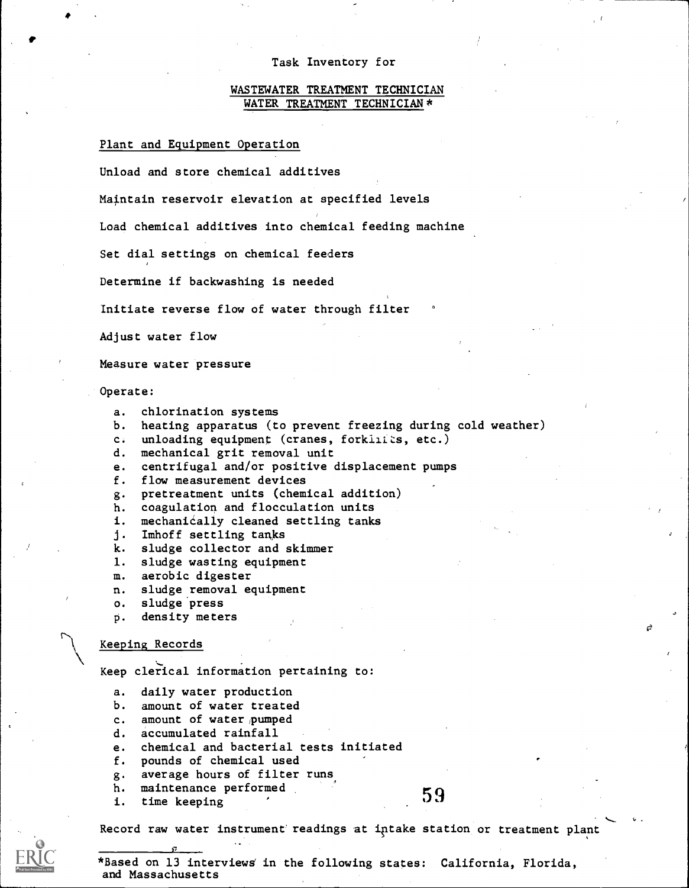## WASTEWATER TREATMENT TECHNICIAN WATER TREATMENT TECHNICIAN \*

#### Plant and Equipment Operation

Unload and store chemical additives

Maintain reservoir elevation at specified levels

Load chemical additives into chemical feeding machine

Set dial settings on chemical feeders

Determine if backwashing is needed

Initiate reverse flow of water through filter

Adjust water flow

Measure water pressure

Operate:

```
a. chlorination systems
```
- b. heating apparatus (to prevent freezing during cold weather)
- c. unloading equipment (cranes, forkilizs, etc.)
- d. mechanical grit removal unit

e. centrifugal and/or positive displacement pumps

f. flow measurement devices

g. pretreatment units (chemical addition)

- h. coagulation and flocculation units
- i. mechaniéally cleaned settling tanks
- j. Imhoff settling tanks
- k. sludge collector and skimmer
- 1. sludge wasting equipment
- m. aerobic digester
- n. sludge.removal equipment
- o. sludge press
- P. density meters

#### Keeping Records

Keep clerical information pertaining to:

- a. daily water production
- b. amount of water treated
- c. amount of water pumped
- d. accumulated rainfall
- e. chemical and bacterial tests initiated
- f. pounds of chemical used
- g. average hours of filter runs
- h. maintenance performed<br>i. time keeping for the state of the state of  $59$
- 

Record raw water instrument'readings at iptake station or treatment plant



\*Based on 13 interviewa in the following states: California, Florida, and Massachusetts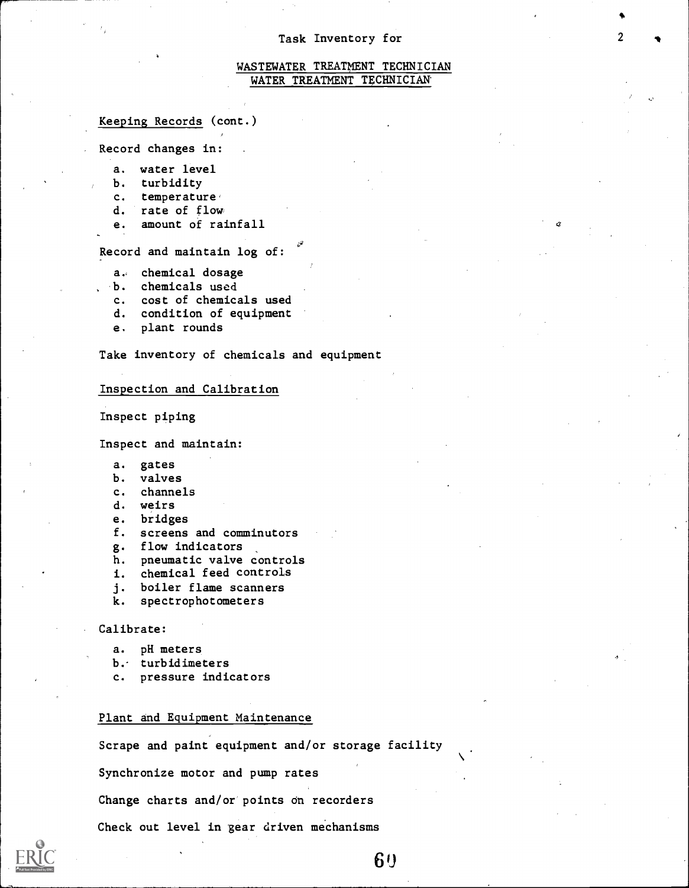## WASTEWATER TREATMENT TECHNICIAN WATER TREATMENT TECHNICIAN

#### Keeping Records (cont.)

Record changes in:

- a. water level
- b. turbidity
- c. temperature,
- d. rate of flow
- e. amount of rainfall

Record and maintain log of:

- a, chemical dosage
- b. chemicals used
- c. cost of chemicals used
- d. condition of equipment
- e. plant rounds

Take inventory of chemicals and equipment

#### Inspection and Calibration

Inspect piping

Inspect and maintain:

- a. gates
- b. valves
- c. channels
- d. weirs
- e. bridges
- f. screens and comminutors
- g. flow indicators
- h. pneumatic valve controls
- i. chemical feed controls
- j. boiler flame scanners
- k. spectrophotometers

#### Calibrate:

- a. pH meters
- b.- turbidimeters
- c. pressure indicators

## Plant and Equipment Maintenance

Scrape and paint equipment and/or storage facility Synchronize motor and pump rates Change charts and/or points on recorders Check out level in gear driven mechanisms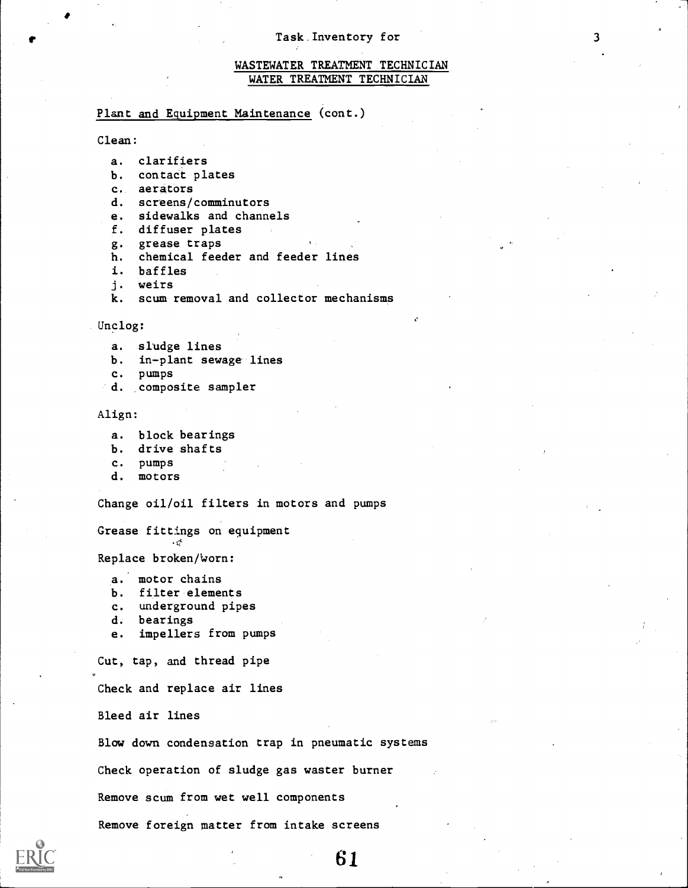## WASTEWATER TREATMENT TECHNICIAN WATER TREATMENT TECHNICIAN

## Plant and Equipment Maintenance (cont.)

### Clean:

```
a. clarifiers
```
- b. contact plates
- c. aerators
- d. screens/comminutors
- e. sidewalks and channels
- f. diffuser plates
- g. grease traps
- h. chemical feeder and feeder lines
- i. baffles
- j. weirs
- k. scum removal and collector mechanisms

#### Unclog:

- a. sludge lines
- b. in-plant sewage lines
- c. pumps
- d. composite sampler

#### Align:

- a. block bearings
- b. drive shafts
- c. pumps
- d. motors

Change oil/oil filters in motors and pumps

Grease fittings on eguipment t; transferência

Replace broken/Worn:

- a. motor chains
- b. filter elements
- c. underground pipes
- d. bearings
- e. impellers from pumps

Cut, tap, and thread pipe

Check and replace air lines

Bleed air lines

Blow down condensation trap in pneumatic systems

Check operation of sludge gas waster burner

Remove scum from wet well components

Remove foreign matter from intake screens

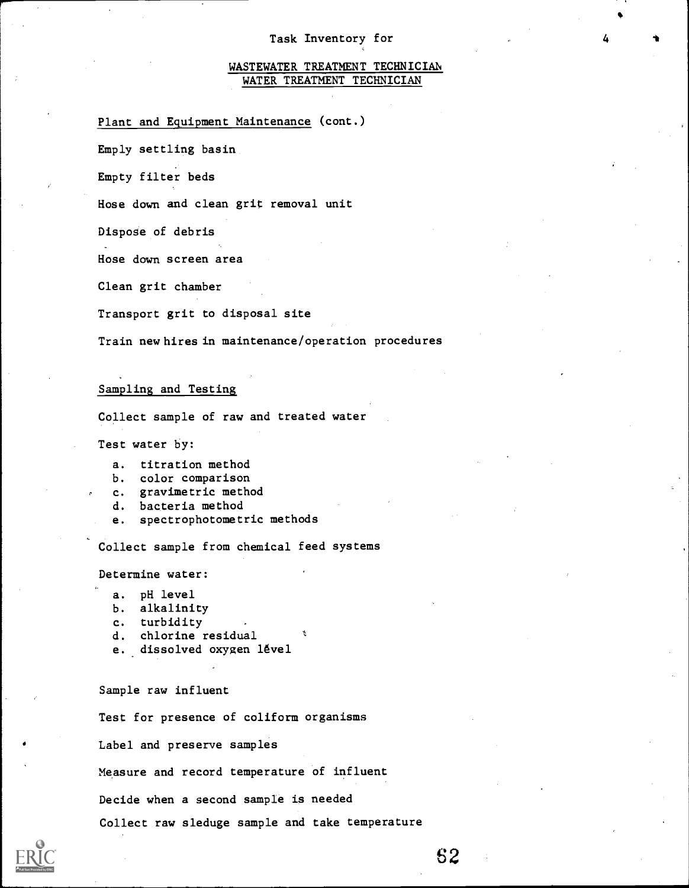## WASTEWATER TREATMENT TECHNICIAN WATER TREATMENT TECHNICIAN

## Plant and Equipment Maintenance (cont.)

Emply settling basin

Empty filter beds

Hose down and clean grit removal unit

Dispose of debris

Hose down screen area

Clean grit chamber

Transport grit to disposal site

Train newhires in maintenance/operation procedures

## Sampling and Testing

Collect sample of raw and treated water

Test water by:

- a. titration method
- b. color comparison
- c. gravimetric method
- d. bacteria method
- e. spectrophotometric methods

Collect sample from chemical feed systems

Determine water:

- a. pH level
- b. alkalinity
- c. turbidity
- d. chlorine residual
- e. dissolved oxygen lével

Sample raw influent

Test for presence of coliform organisms

Label and preserve samples

Measure and record temperature of influent

Decide when a second sample is needed

Collect raw sleduge sample and take temperature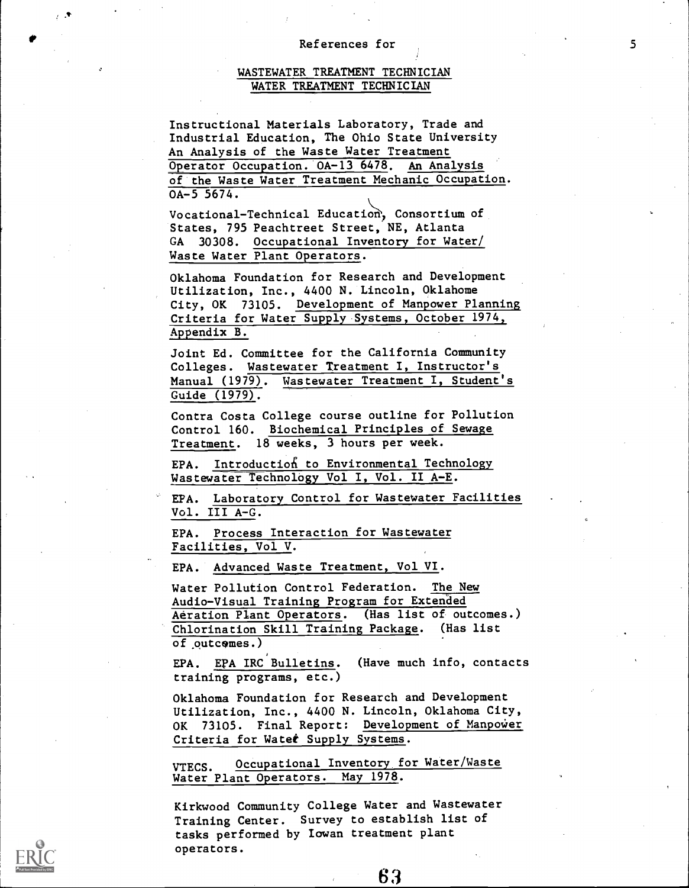## References for 5

## WASTEWATER TREATMENT TECHNICIAN WATER TREATMENT TECHNICIAN

Instructional Materials Laboratory, Trade and Industrial Education, The Ohio State University An Analysis of the Waste Water Treatment Operator Occupation. 0A-13 6478. An Analysis of the Waste Water Treatment Mechanic Occupation.  $0A-5$  5674.

Vocational-Technical Education', Consortium of States, 795 Peachtreet Street, NE, Atlanta GA 30308. Occupational Inventory for Water/ Waste Water Plant Operators.

Oklahoma Foundation for Research and Development Utilization, Inc., 4400 N. Lincoln, Oklahome City, OK 73105. Development of Manpower Planning Criteria for Water Supply Systems, October 1974, Appendix B.

Joint Ed. Committee for the California Community Colleges. Wastewater Treatment I, Instructor's Manual (1979). Wastewater Treatment I, Student's Guide (1979).

Contra Costa College course outline for Pollution Control 160. Biochemical Principles of Sewage Treatment. 18 weeks, 3 hours per week.

EPA. Introduction to Environmental Technology Wastewater Technology Vol I, Vol. II A-E.

EPA. Laboratory Control for Wastewater Facilities Vol. III A-G.

EPA. Process Interaction for Wastewater Facilities, Vol V.

EPA. Advanced Waste Treatment, Vol VI.

Water Pollution Control Federation. The New Audio-Visual Training Program for Extended Aeration Plant Operators. (Has list of outcomes.) Chlorination Skill Training Package. (Has list of outcomes.)

EPA. EPA IRC Bulletins. (Have much info, contacts training programs, etc.)

Oklahoma Foundation for Research and Development Utilization, Inc., 4400 N. Lincoln, Oklahoma City, OK 73105. Final Report: Development of Manpower Criteria for Watet Supply Systems.

VTECS. Occupational Inventory for Water/Waste Water Plant Operators. May 1978.

Kirkwood Community College Water and Wastewater Training Center. Survey to establish list of tasks performed by Iowan treatment plant operators.

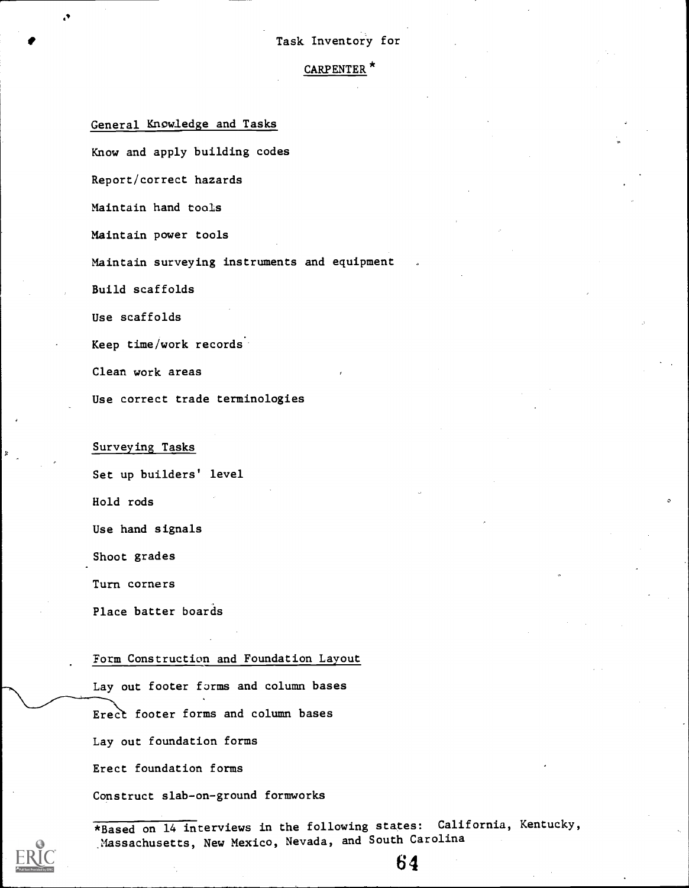## CARPENTER\*

General Knowledge and Tasks

Know and apply building codes

Report/correct hazards

Maintain hand tools

Maintain power tools

Maintain surveying instruments and equipment

Build scaffolds

Use scaffolds

Keep time/work records..

Clean work areas

Use correct trade terminologies

Surveying Tasks

Set up builders' level

Hold rods

Use hand signals

Shoot grades

Turn corners

Place batter boards

#### Form Construction and Foundation Layout

Lay out footer forms and column bases Erect footer forms and column bases Lay out foundation forms Erect foundation forms Construct slab-on-ground formworks

\*Based on 14 interviews in the following states: California, Kentucky, Massachusetts, New Mexico, Nevada, and South Carolina

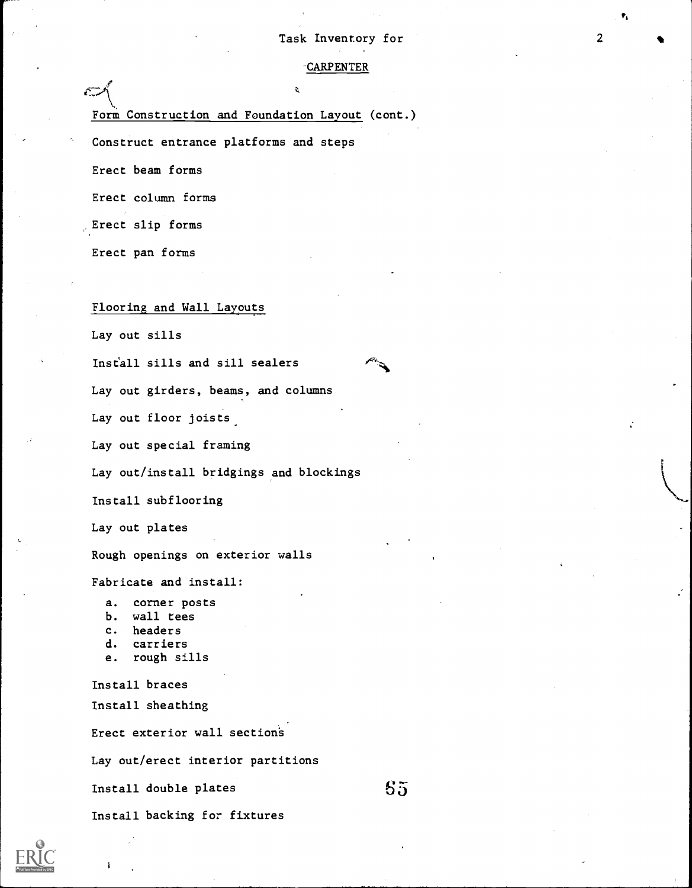#### -CARPENTER

Form Construction and Foundation Layout (cont.)

Construct entrance platforms and steps

Erect beam forms

 $\subset$ 

Erect column forms

,Erect slip forms

Erect pan forms

## Flooring and Wall Layouts

Lay out sills

Install sills and sill sealers

Lay out girders, beams, and columns

Lay out floor joists\_

Lay out special framing

Lay out/install bridgings and blockings

Install subflooring

Lay out plates

Rough openings on exterior walls

Fabricate and install:

a. corner posts

- b. wall tees
- c. headers
- d. carriers
- e. rough sills

Install braces Install sheathing

Erect exterior wall section's

Lay out/erect interior partitions

Install double plates

5

65

Install backing for fixtures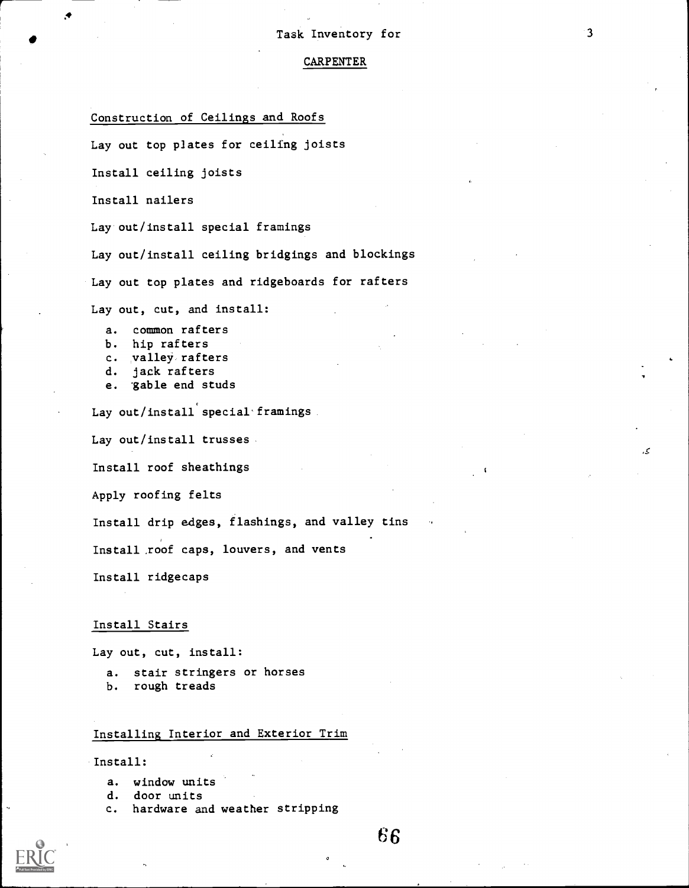## CARPENTER

## Construction of Ceilings and Roofs

Lay out top plates for ceiling joists

Install ceiling joists

Install nailers

ft

Lay out/install special framings

Lay out/install ceiling bridgings and blockings

Lay out top plates and ridgeboards for rafters

Lay out, cut, and install:

- a. common rafters
- b. hip rafters
- c. valley, rafters
- d. jack rafters
- e. 'gable end studs

Lay out/install special framings

Lay out/install trusses

Install roof sheathings

Apply roofing felts

Install drip edges, flashings, and valley tins

Install\_roof caps, louvers, and vents

Install ridgecaps

## Install Stairs

Lay out, cut, install:

a. stair stringers or horses

b. rough treads

## Installing Interior and Exterior Trim

Install:

- a. window units
- d. door units
- c. hardware and weather stripping
- 66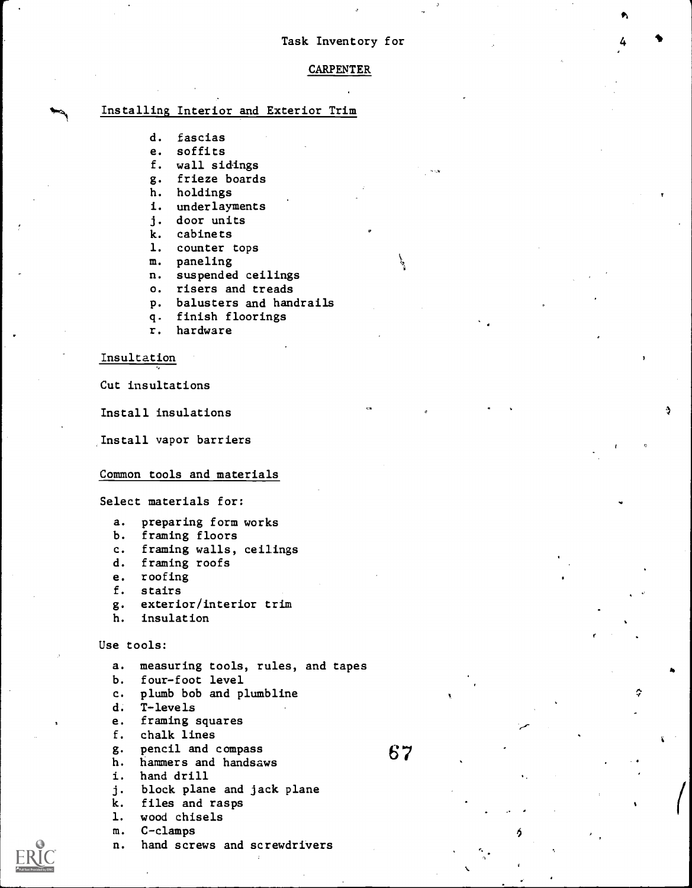401

Ó

#### CARPENTER

## Installing Interior and Exterior Trim

- d. fascias
- e. soffits
- f. wall sidings
- g. frieze boards
- h. holdings
- i. underlayments
- j. door units
- k. cabinets
- 1. counter tops
- m. paneling
- n. suspended ceilings
- o. risers and treads
- p. balusters and handrails
- q. finish floorings
- r. hardware

#### Insultation

Cut insultations

Install insulations

Install vapor barriers

#### Common tools and materials

Select materials for:

- a. preparing form works
- b. framing floors
- c. framing walls, ceilings
- d. framing roofs
- e. roofing
- f. stairs
- g. exterior/interior trim
- h. insulation

## Use tools:

a. measuring tools, rules, and tapes

- b. four-foot level
- c. plumb bob and plumbline
- d. T-levels
- e. framing squares
- f. chalk lines
- g. pencil and compass
- h. hammers and handsaws
- i. hand drill
- j. block plane and jack plane
- k. files and rasps
- 1. wood chisels
- m. C-clamps
- n. hand screws and screwdrivers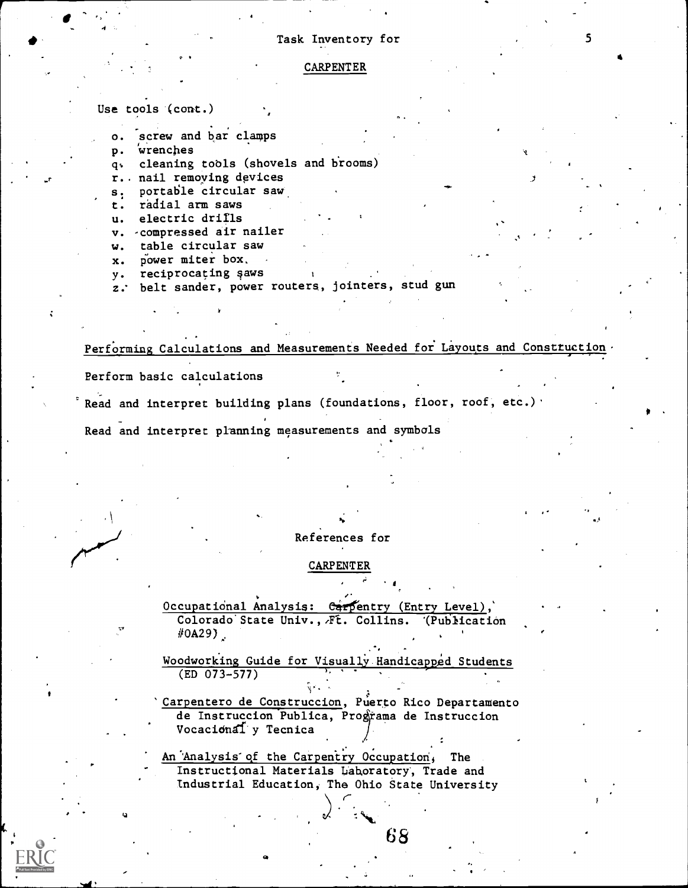#### CARPENTER

Use tools (cont.)

4

o. screw and bar clamps

p. wrenches

q. cleaning tobls (shovels and hrooms)

r.. nail remoying devices

s. portable circular saw

t. radial arm saws

u. electric drills

v. -compressed air nailer

w. table circular saw

x. power miter box.

y. reciprocating saws

z. belt sander, power routers, jointers, stud gun

Performing Calculations and Measurements Needed for Layouts and Construction

Perform basic calculations

Read and interpret building plans (foundations, floor, roof, etc.)'

Read and interpret planning measurements and symbols

#### 10. References for

#### CARPENTER

Occupational Analysis: Carpentry (Entry Level), Colorado State Univ., Ft. Collins. (Publication  $#0A29$ ).

Woodworking Guide for Visually Handicapped Students (ED 073-577)

'Carpentero de Construccion, Puerto Rico Departamento de Instruccion Publica, Programa de Instruccion Vocacidndfy Tecnica

An Analysis of the Carpentry Occupation, The Instructional Materials Lahoratory, Trade and Industrial Education; The Ohio State University

.

-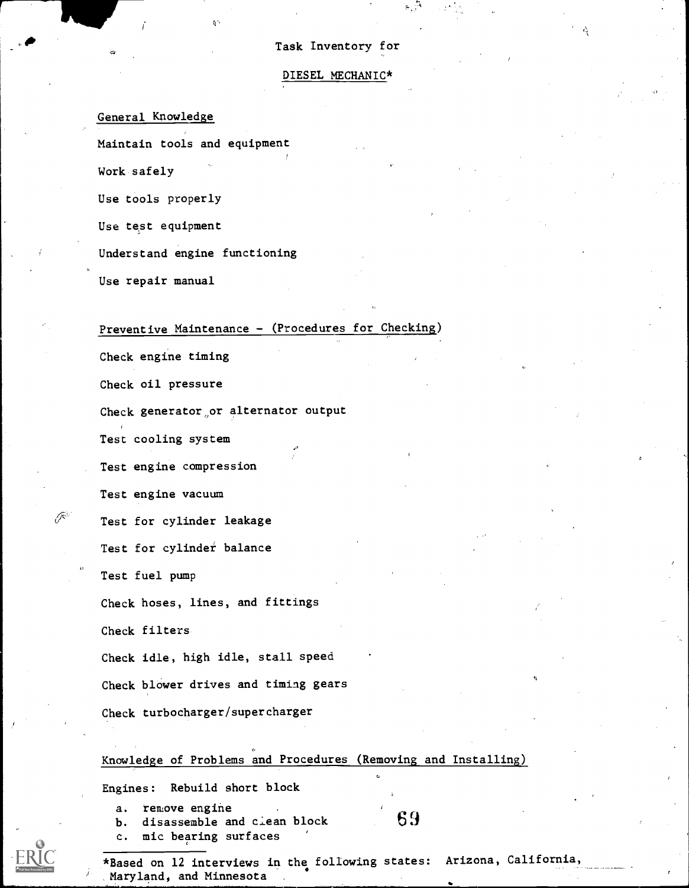#### DIESEL MECHANIC\*

General Knowledge

Maintain tools and equipment

Work safely

Use tools properly

Use test equipment

Understand engine functioning

Use repair manual

## Preventive Maintenance - (Procedures for Checking)

Check engine timing

Check oil pressure

Check generator,or alternator output

Test cooling system

Test engine compression

Test engine vacuum

Test for cylinder leakage

Test for cylinder balance

Test fuel pump

 $\widehat{\mathscr{O}}^2$ 

Check hoses, lines, and fittings

Check filters

Check idle, high idle, stall speed

Check blower drives and timing gears

Check turbocharger/supercharger

## Knowledge of Problems and Procedures (Removing\_ and Installing)

Engines: Rebuild short block

a. remove engine

b. disassemble and ciean block

c. mic bearing surfaces

6 9

\*Based on 12 interviews in the following states: Arizona, California, Maryland, and Minnesota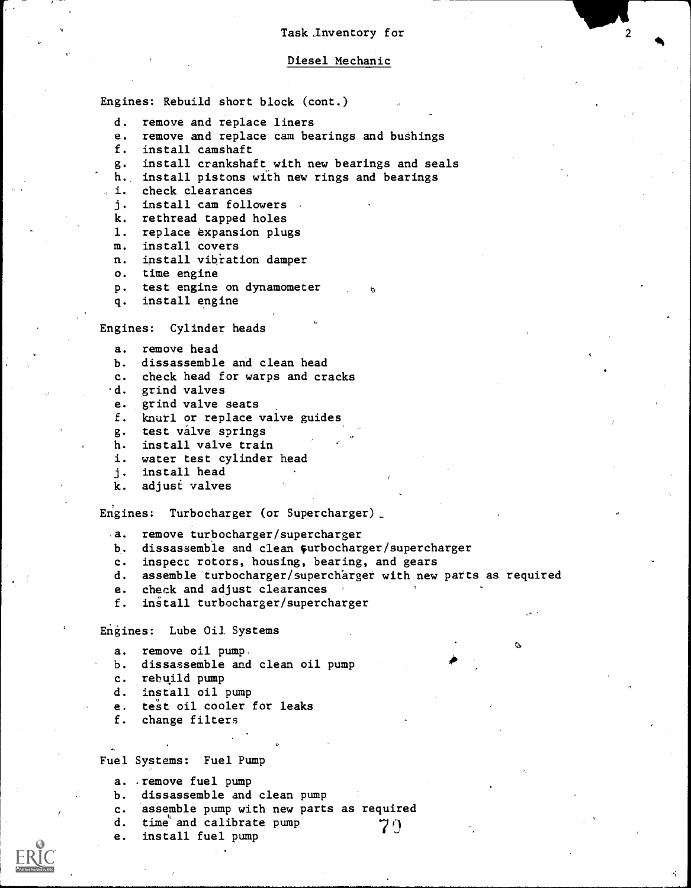#### Diesel Mechanic

Engines: Rebuild short block (cont.)

- d. remove and replace liners
- e. remove and replace cam bearings and bushings<br>f. install camshaft
- install camshaft
- g. install crankshaft, with new bearings and seals
- h. install pistons with new rings and bearings
- i. check clearances
- j. install cam followers
- k. rethread tapped holes
- 1. replace expansion plugs
- m. install covers
- n. install vibration damper
- o. time engine
- p. test engine on dynamometer
- q. install engine

#### Engines: Cylinder heads

- a. remove head
- b. dissassemble and clean head
- c. check head for warps and cracks
- .d. grind valves
- e. grind valve seats
- f. knurl or replace valve guides
- g. test valve springs
- h. install valve train
- i. water test cylinder head
- j. install head
- k. adjust valves

Engines: Turbocharger (or Supercharger)

- .a. remove turbocharger/supercharger
- b. dissassemble and clean surbocharger/supercharger
- c. inspect rotors, housing, bearing, and gears
- d. assemble turbocharger/superch'arger with new parts as required

 $\alpha$ 

- e. check and adjust clearances
- f. install turbocharger/supercharger

Engines: Lube Oil Systems

- a. remove oil pump,
- b. dissassemble and clean oil pump
- c. rebuild pump
- d. install oil pump
- e. test oil cooler for leaks
- f. change filters

Fuel Systems: Fuel Pump

- a. .remove fuel pump
- b. dissassemble and clean pump
- c. assemble pump with new parts as required
- d. time and calibrate pump  $\gamma$  ()<br>e. install fuel pump
- install fuel pump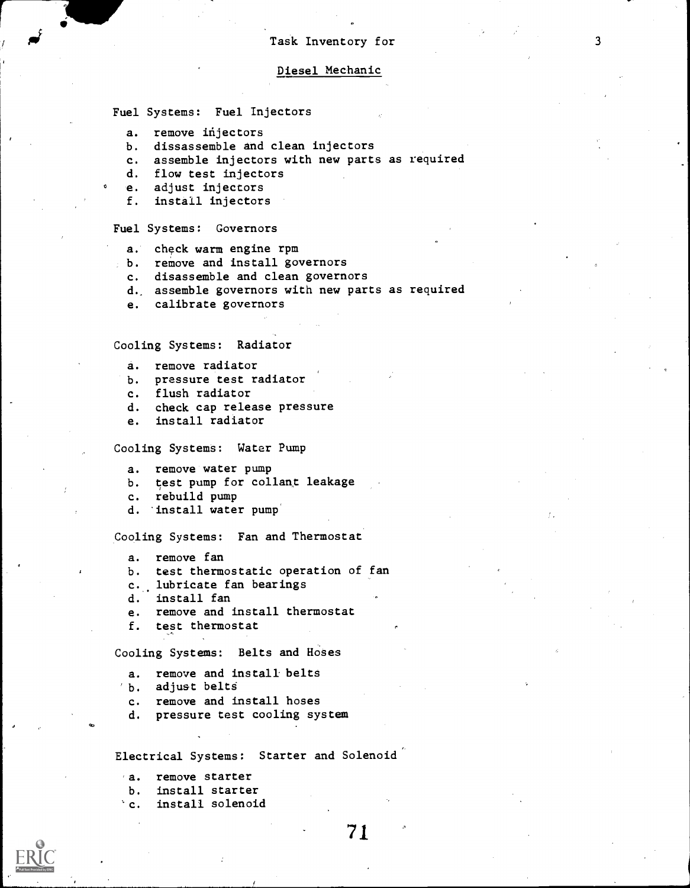#### Diesel Mechanic

Fuel Systems: Fuel Injectors

- a. remove injectors
- b. dissassemble and clean injectors
- c. assemble injectors with new parts as required
- d. flow test injectors
- e. adjust injectors
- f. install injectors

#### Fuel Systems: Governors

- a. check warm engine rpm
- b. remove and install governors
	- c. disassemble and clean governors
	- d, assemble governors with new parts as required
	- e. calibrate governors

#### Cooling Systems: Radiator

- a. remove radiator
- b. pressure test radiator
- c. flush radiator
- d. check cap release pressure
- e. install radiator

Cooling Systems: Water Pump

a. remove water pump

- b. test pump for collant leakage
- c. rebuild pump
- d. install water pump'

Cooling Systems: Fan and Thermostat

a. remove fan

- b. test thermostatic operation of fan
- c. lubricate fan bearings
- d. install fan
- e. remove and install thermostat
- f. test thermostat

Cooling Systems: Belts and Hoses

- a. remove and install belts
- b. adjust belts
- c. remove and install hoses
- d. pressure test cooling system

Electrical Systems: Starter and Solenoid

- a. remove starter
- b. install starter
- c. install solenoid